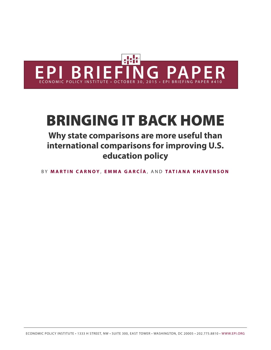

# BRINGING IT BACK HOME

# **Why state comparisons are more useful than international comparisons for improving U.S. education policy**

B Y **M [ARTIN C](http://www.epi.org/people/martin-carnoy/) ARNO Y** , **EMM [A GAR](http://www.epi.org/people/emma-garcia/) CÍA** , AND **[TATIANA KHAVENSON](http://www.epi.org/people/tatiana-khavenson/)**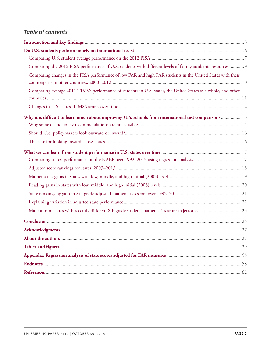# *Table of contents*

| Comparing the 2012 PISA performance of U.S. students with different levels of family academic resources  9   |  |
|--------------------------------------------------------------------------------------------------------------|--|
| Comparing changes in the PISA performance of low FAR and high FAR students in the United States with their   |  |
|                                                                                                              |  |
| Comparing average 2011 TIMSS performance of students in U.S. states, the United States as a whole, and other |  |
|                                                                                                              |  |
| Why it is difficult to learn much about improving U.S. schools from international test comparisons  13       |  |
|                                                                                                              |  |
|                                                                                                              |  |
|                                                                                                              |  |
|                                                                                                              |  |
| Comparing states' performance on the NAEP over 1992-2013 using regression analysis17                         |  |
|                                                                                                              |  |
|                                                                                                              |  |
|                                                                                                              |  |
|                                                                                                              |  |
|                                                                                                              |  |
|                                                                                                              |  |
|                                                                                                              |  |
|                                                                                                              |  |
|                                                                                                              |  |
|                                                                                                              |  |
|                                                                                                              |  |
|                                                                                                              |  |
|                                                                                                              |  |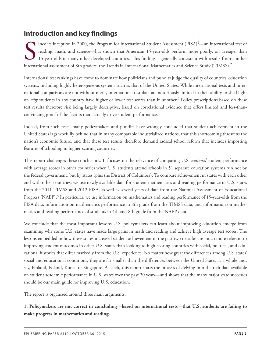# <span id="page-2-0"></span>**Introduction and key findings**

<span id="page-2-1"></span>ince its inception in [2](#page-57-2)000, the Program for International Student Assessment (PISA)<sup>1</sup>—an international reading, math, and science—has shown that American 15-year-olds perform more poorly, on average 15-year-olds in many o ince its inception in 2000, the Program for International Student Assessment  $(PISA)^1$  $(PISA)^1$ —an international test of reading, math, and science—has shown that American 15-year-olds perform more poorly, on average, than 15-year-olds in many other developed countries. This finding is generally consistent with results from another

<span id="page-2-3"></span><span id="page-2-2"></span>International test rankings have come to dominate how politicians and pundits judge the quality of countries' education systems, including highly heterogeneous systems such as that of the United States. While international tests and international comparisons are not without merit, international test data are notoriously limited in their ability to shed light on *why* students in any country have higher or lower test scores than in another. [3](#page-57-3) Policy prescriptions based on these test results therefore risk being largely descriptive, based on correlational evidence that offers limited and less-thanconvincing proof of the factors that actually drive student performance.

Indeed, from such tests, many policymakers and pundits have wrongly concluded that student achievement in the United States lags woefully behind that in many comparable industrialized nations, that this shortcoming threatens the nation's economic future, and that these test results therefore demand radical school reform that includes importing features of schooling in higher-scoring countries.

This report challenges these conclusions. It focuses on the relevance of comparing U.S. *national* student performance with average scores in other countries when U.S. students attend schools in 51 separate education systems run not by the federal government, but by states (plus the District of Columbia). To compare achievement in states with each other and with other countries, we use newly available data for student mathematics and reading performance in U.S. states from the 2011 TIMSS and 2012 PISA, as well as several years of data from the National Assessment of Educational Progress (NAEP).<sup>[4](#page-57-4)</sup> In particular, we use information on mathematics and reading performance of 15-year-olds from the PISA data, information on mathematics performance in 8th grade from the TIMSS data, and information on mathematics and reading performance of students in 4th and 8th grade from the NAEP data.

<span id="page-2-4"></span>We conclude that the most important lessons U.S. policymakers can learn about improving education emerge from examining why some U.S. states have made large gains in math and reading and achieve high average test scores. The lessons embedded in how these states increased student achievement in the past two decades are much more relevant to improving student outcomes in other U.S. states than looking to high-scoring countries with social, political, and educational histories that differ markedly from the U.S. experience. No matter how great the differences among U.S. states' social and educational conditions, they are far smaller than the differences between the United States as a whole and, say, Finland, Poland, Korea, or Singapore. As such, this report starts the process of delving into the rich data available on student academic performance in U.S. states over the past 20 years—and shows that the many major state successes should be our main guide for improving U.S. education.

The report is organized around three main arguments:

**1. Policymakers are not correct in concluding—based on international tests—that U.S. students are failing to make progress in mathematics and reading.**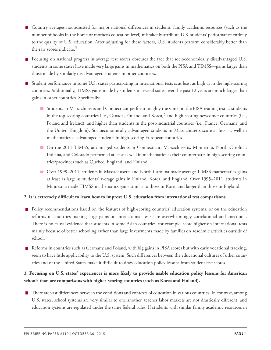- Country averages not adjusted for major national differences in students' family academic resources (such as the number of books in the home or mother's education level) mistakenly attribute U.S. students' performance entirely to the quality of U.S. education. After adjusting for these factors, U.S. students perform considerably better than the raw scores indicate.<sup>[5](#page-57-5)</sup>
- <span id="page-3-0"></span>**F** Focusing on national progress in average test scores obscures the fact that socioeconomically disadvantaged U.S. students in some states have made very large gains in mathematics on both the PISA and TIMSS—gains larger than those made by similarly disadvantaged students in other countries.
- <span id="page-3-1"></span>Student performance in some U.S. states participating in international tests is at least as high as in the high-scoring countries. Additionally, TIMSS gains made by students in several states over the past 12 years are much larger than gains in other countries. Specifically:
	- **Students in Massachusetts and Connecticut perform roughly the same on the PISA reading test as students** in the top-scoring countries (i.e., Canada, Finland, and Korea)<sup>[6](#page-57-6)</sup> and high-scoring newcomer countries (i.e., Poland and Ireland), and higher than students in the post-industrial countries (i.e., France, Germany, and the United Kingdom). Socioeconomically advantaged students in Massachusetts score at least as well in mathematics as advantaged students in high-scoring European countries.
	- On the 2011 TIMSS, advantaged students in Connecticut, Massachusetts, Minnesota, North Carolina, Indiana, and Colorado performed at least as well in mathematics as their counterparts in high-scoring countries/provinces such as Quebec, England, and Finland.
	- Over 1999–2011, students in Massachusetts and North Carolina made average TIMSS mathematics gains at least as large as students' average gains in Finland, Korea, and England. Over 1995–2011, students in Minnesota made TIMSS mathematics gains similar to those in Korea and larger than those in England.

#### **2. It is extremely difficult to learn how to improve U.S. education from international test comparisons.**

- **Policy recommendations based on the features of high-scoring countries' education systems, or on the education** reforms in countries making large gains on international tests, are overwhelmingly correlational and anecdotal. There is no causal evidence that students in some Asian countries, for example, score higher on international tests mainly because of better schooling rather than large investments made by families on academic activities outside of school.
- Reforms in countries such as Germany and Poland, with big gains in PISA scores but with early vocational tracking, seem to have little applicability to the U.S. system. Such differences between the educational cultures of other countries and of the United States make it difficult to draw education policy lessons from student test scores.

### 3. Focusing on U.S. states' experiences is more likely to provide usable education policy lessons for American **schools than are comparisons with higher-scoring countries (such as Korea and Finland).**

There are vast differences between the conditions and contexts of education in various countries. In contrast, among U.S. states, school systems are very similar to one another, teacher labor markets are not drastically different, and education systems are regulated under the same federal rules. If students with similar family academic resources in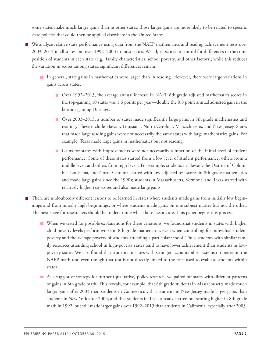some states make much larger gains than in other states, those larger gains are more likely to be related to specific state policies that could then be applied elsewhere in the United States.

- We analyze relative state performance using data from the NAEP mathematics and reading achievement tests over 2003–2013 in all states and over 1992–2003 in most states. We adjust scores to control for differences in the composition of students in each state (e.g., family characteristics, school poverty, and other factors); while this reduces the variation in scores among states, significant differences remain.
	- In general, state gains in mathematics were larger than in reading. However, there were large variations in gains across states.
		- Over 1992–2013, the average annual increase in NAEP 8th grade adjusted mathematics scores in the top-gaining 10 states was 1.6 points per year—double the 0.8 point annual adjusted gain in the bottom-gaining 10 states.
		- Over 2003–2013, a number of states made significantly large gains in 8th grade mathematics and reading. These include Hawaii, Louisiana, North Carolina, Massachusetts, and New Jersey. States that made large reading gains were not necessarily the same states with large mathematics gains. For example, Texas made large gains in mathematics but not reading.
		- Gains for states with improvements were not necessarily a function of the initial level of student performance. Some of these states started from a low level of student performance, others from a middle level, and others from high levels. For example, students in Hawaii, the District of Columbia, Louisiana, and North Carolina started with low adjusted test scores in 8th grade mathematics and made large gains since the 1990s; students in Massachusetts, Vermont, and Texas started with relatively higher test scores and also made large gains.

There are undoubtedly different lessons to be learned in states where students made gains from initially low beginnings and from initially high beginnings, or where students made gains on one subject matter but not the other. The next stage for researchers should be to determine what those lessons are. This paper begins this process.

- When we tested for possible explanations for these variations, we found that students in states with higher child poverty levels perform worse in 8th grade mathematics even when controlling for individual student poverty and the average poverty of students attending a particular school. Thus, students with similar family resources attending school in high-poverty states tend to have lower achievement than students in lowpoverty states. We also found that students in states with stronger accountability systems do better on the NAEP math test, even though that test is not directly linked to the tests used to evaluate students within states.
- As a suggestive strategy for further (qualitative) policy research, we paired off states with different patterns of gains in 8th grade math. This reveals, for example, that 8th grade students in Massachusetts made much larger gains after 2003 than students in Connecticut, that students in New Jersey made larger gains than students in New York after 2003, and that students in Texas already started out scoring higher in 8th grade math in 1992, but still made larger gains over 1992–2013 than students in California, especially after 2003.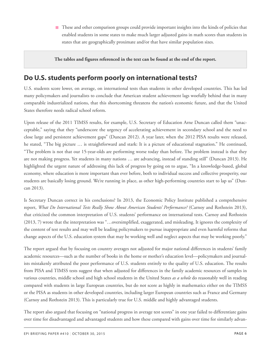**These and other comparison groups could provide important insights into the kinds of policies that** enabled students in some states to make much larger adjusted gains in math scores than students in states that are geographically proximate and/or that have similar population sizes.

**The tables and figures referenced in the text can be found at the end of the report.**

# <span id="page-5-0"></span>**Do U.S. students perform poorly on international tests?**

U.S. students score lower, on average, on international tests than students in other developed countries. This has led many policymakers and journalists to conclude that American student achievement lags woefully behind that in many comparable industrialized nations, that this shortcoming threatens the nation's economic future, and that the United States therefore needs radical school reform.

Upon release of the 2011 TIMSS results, for example, U.S. Secretary of Education Arne Duncan called them "unacceptable," saying that they "underscore the urgency of accelerating achievement in secondary school and the need to close large and persistent achievement gaps" (Duncan 2012). A year later, when the 2012 PISA results were released, he stated, "The big picture … is straightforward and stark: It is a picture of educational stagnation." He continued, "The problem is not that our 15-year-olds are performing worse today than before. The problem instead is that they are not making progress. Yet students in many nations … are advancing, instead of standing still" (Duncan 2013). He highlighted the urgent nature of addressing this lack of progress by going on to argue, "In a knowledge-based, global economy, where education is more important than ever before, both to individual success and collective prosperity, our students are basically losing ground. We're running in place, as other high-performing countries start to lap us" (Duncan 2013).

Is Secretary Duncan correct in his conclusions? In 2013, the Economic Policy Institute published a comprehensive report, *What Do International Tests Really Show About American Students' Performance?* (Carnoy and Rothstein 2013), that criticized the common interpretation of U.S. students' performance on international tests. Carnoy and Rothstein (2013, 7) wrote that the interpretation was "…oversimplified, exaggerated, and misleading. It ignores the complexity of the content of test results and may well be leading policymakers to pursue inappropriate and even harmful reforms that change aspects of the U.S. education system that may be working well and neglect aspects that may be working poorly."

The report argued that by focusing on country averages not adjusted for major national differences in students' family academic resources—such as the number of books in the home or mother's education level—policymakers and journalists mistakenly attributed the poor performance of U.S. students entirely to the quality of U.S. education. The results from PISA and TIMSS tests suggest that when adjusted for differences in the family academic resources of samples in various countries, middle school and high school students in the United States *as a whole* do reasonably well in reading compared with students in large European countries, but do not score as highly in mathematics either on the TIMSS or the PISA as students in other developed countries, including larger European countries such as France and Germany (Carnoy and Rothstein 2013). This is particularly true for U.S. middle and highly advantaged students.

The report also argued that focusing on "national progress in average test scores" in one year failed to differentiate gains over time for disadvantaged and advantaged students and how these compared with gains over time for similarly advan-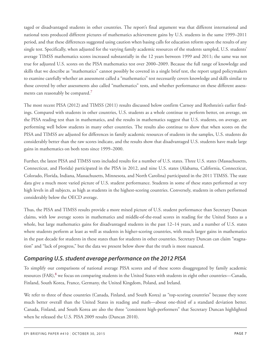taged or disadvantaged students in other countries. The report's final argument was that different international and national tests produced different pictures of mathematics achievement gains by U.S. students in the same 1999–2011 period, and that these differences suggested using caution when basing calls for education reform upon the results of any single test. Specifically, when adjusted for the varying family academic resources of the students sampled, U.S. students' average TIMSS mathematics scores increased substantially in the 12 years between 1999 and 2011; the same was not true for adjusted U.S. scores on the PISA mathematics test over 2000–2009. Because the full range of knowledge and skills that we describe as "mathematics" cannot possibly be covered in a single brief test, the report urged policymakers to examine carefully whether an assessment called a "mathematics" test necessarily covers knowledge and skills similar to those covered by other assessments also called "mathematics" tests, and whether performance on these different assess-ments can reasonably be compared.<sup>[7](#page-57-7)</sup>

<span id="page-6-1"></span>The most recent PISA (2012) and TIMSS (2011) results discussed below confirm Carnoy and Rothstein's earlier findings. Compared with students in other countries, U.S. students as a whole continue to perform better, on average, on the PISA reading test than in mathematics, and the results in mathematics suggest that U.S. students, on average, are performing well below students in many other countries. The results also continue to show that when scores on the PISA and TIMSS are adjusted for differences in family academic resources of students in the samples, U.S. students do considerably better than the raw scores indicate, and the results show that disadvantaged U.S. students have made large gains in mathematics on both tests since 1999–2000.

Further, the latest PISA and TIMSS tests included results for a number of U.S. states. Three U.S. states (Massachusetts, Connecticut, and Florida) participated in the PISA in 2012, and nine U.S. states (Alabama, California, Connecticut, Colorado, Florida, Indiana, Massachusetts, Minnesota, and North Carolina) participated in the 2011 TIMSS. The state data give a much more varied picture of U.S. student performance. Students in some of these states performed at very high levels in all subjects, as high as students in the highest-scoring countries. Conversely, students in others performed considerably below the OECD average.

Thus, the PISA and TIMSS results provide a more mixed picture of U.S. student performance than Secretary Duncan claims, with low average scores in mathematics and middle-of-the-road scores in reading for the United States as a whole, but large mathematics gains for disadvantaged students in the past 12–14 years, and a number of U.S. states where students perform at least as well as students in higher-scoring countries, with much larger gains in mathematics in the past decade for students in these states than for students in other countries. Secretary Duncan can claim "stagnation" and "lack of progress," but the data we present below show that the truth is more nuanced.

### <span id="page-6-0"></span>*Comparing U.S. student average performance on the 2012 PISA*

<span id="page-6-2"></span>To simplify our comparisons of national average PISA scores and of these scores disaggregated by family academic resources (FAR),<sup>[8](#page-57-8)</sup> we focus on comparing students in the United States with students in eight other countries—Canada, Finland, South Korea, France, Germany, the United Kingdom, Poland, and Ireland.

We refer to three of these countries (Canada, Finland, and South Korea) as "top-scoring countries" because they score much better overall than the United States in reading and math—about one-third of a standard deviation better. Canada, Finland, and South Korea are also the three "consistent high-performers" that Secretary Duncan highlighted when he released the U.S. PISA 2009 results (Duncan 2010).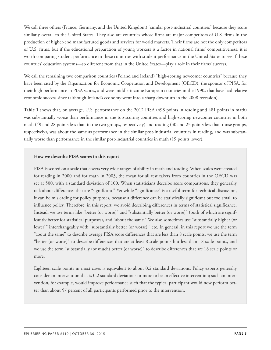We call three others (France, Germany, and the United Kingdom) "similar post-industrial countries" because they score similarly overall to the United States. They also are countries whose firms are major competitors of U.S. firms in the production of higher-end manufactured goods and services for world markets. Their firms are not the only competitors of U.S. firms, but if the educational preparation of young workers is a factor in national firms' competitiveness, it is worth comparing student performance in these countries with student performance in the United States to see if these countries' education systems—so different from that in the United States—play a role in their firms' success.

We call the remaining two comparison countries (Poland and Ireland) "high-scoring newcomer countries" because they have been cited by the Organization for Economic Cooperation and Development (OECD), the sponsor of PISA, for their high performance in PISA scores, and were middle-income European countries in the 1990s that have had relative economic success since (although Ireland's economy went into a sharp downturn in the 2008 recession).

**Table 1** shows that, on average, U.S. performance on the 2012 PISA (498 points in reading and 481 points in math) was substantially worse than performance in the top-scoring countries and high-scoring newcomer countries in both math (49 and 28 points less than in the two groups, respectively) and reading (30 and 23 points less than those groups, respectively), was about the same as performance in the similar post-industrial countries in reading, and was substantially worse than performance in the similar post-industrial countries in math (19 points lower).

#### **How we describe PISA scores in this report**

PISA is scored on a scale that covers very wide ranges of ability in math and reading. When scales were created for reading in 2000 and for math in 2003, the mean for all test takers from countries in the OECD was set at 500, with a standard deviation of 100. When statisticians describe score comparisons, they generally talk about differences that are "significant." Yet while "significance" is a useful term for technical discussion, it can be misleading for policy purposes, because a difference can be statistically significant but too small to influence policy. Therefore, in this report, we avoid describing differences in terms of statistical significance. Instead, we use terms like "better (or worse)" and "substantially better (or worse)" (both of which are significantly better for statistical purposes), and "about the same." We also sometimes use "substantially higher (or lower)" interchangeably with "substantially better (or worse)," etc. In general, in this report we use the term "about the same" to describe average PISA score differences that are less than 8 scale points, we use the term "better (or worse)" to describe differences that are at least 8 scale points but less than 18 scale points, and we use the term "substantially (or much) better (or worse)" to describe differences that are 18 scale points or more.

Eighteen scale points in most cases is equivalent to about 0.2 standard deviations. Policy experts generally consider an intervention that is 0.2 standard deviations or more to be an effective intervention; such an intervention, for example, would improve performance such that the typical participant would now perform better than about 57 percent of all participants performed prior to the intervention.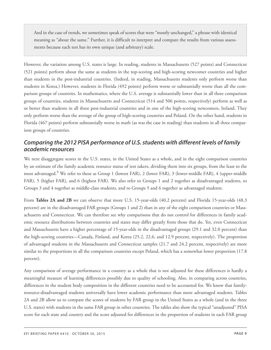And in the case of trends, we sometimes speak of scores that were "mostly unchanged," a phrase with identical meaning as "about the same." Further, it is difficult to interpret and compare the results from various assessments because each test has its own unique (and arbitrary) scale.

However, the variation among U.S. states is large. In reading, students in Massachusetts (527 points) and Connecticut (521 points) perform about the same as students in the top-scoring and high-scoring newcomer countries and higher than students in the post-industrial countries. (Indeed, in reading, Massachusetts students only perform worse than students in Korea.) However, students in Florida (492 points) perform worse or substantially worse than all the comparison groups of countries. In mathematics, where the U.S. average is substantially lower than in all three comparison groups of countries, students in Massachusetts and Connecticut (514 and 506 points, respectively) perform as well as or better than students in all three post-industrial countries and in one of the high-scoring newcomers, Ireland. They only perform worse than the average of the group of high-scoring countries and Poland. On the other hand, students in Florida (467 points) perform substantially worse in math (as was the case in reading) than students in all three comparison groups of countries.

### <span id="page-8-0"></span>*Comparing the 2012 PISA performance of U.S. students with different levels of family academic resources*

<span id="page-8-1"></span>We next disaggregate scores in the U.S. states, in the United States as a whole, and in the eight comparison countries by an estimate of the family academic resource status of test takers, dividing them into six groups, from the least to the most advantaged.[9](#page-57-9) We refer to these as Group 1 (lowest FAR), 2 (lower FAR), 3 (lower-middle FAR), 4 (upper-middle FAR), 5 (higher FAR), and 6 (highest FAR). We also refer to Groups 1 and 2 together as disadvantaged students, to Groups 3 and 4 together as middle-class students, and to Groups 5 and 6 together as advantaged students.

From **Tables 2A and 2B** we can observe that more U.S. 15-year-olds (40.2 percent) and Florida 15-year-olds (48.3 percent) are in the disadvantaged FAR groups (Groups 1 and 2) than in any of the eight comparison countries or Massachusetts and Connecticut. We can therefore see why comparisons that do not control for differences in family academic resource distributions between countries and states may differ greatly from those that do. Yet, even Connecticut and Massachusetts have a higher percentage of 15-year-olds in the disadvantaged groups (29.1 and 32.0 percent) than the high-scoring countries—Canada, Finland, and Korea (25.2, 22.6, and 12.9 percent, respectively). The proportion of advantaged students in the Massachusetts and Connecticut samples (21.7 and 24.2 percent, respectively) are more similar to the proportions in all the comparison countries except Poland, which has a somewhat lower proportion (17.8) percent).

Any comparison of average performance in a country as a whole that is not adjusted for these differences is hardly a meaningful measure of learning differences possibly due to quality of schooling. Also, in comparing across countries, differences in the student body composition in the different countries need to be accounted for. We know that familyresource-disadvantaged students universally have lower academic performance than more advantaged students. Tables 2A and 2B allow us to compare the scores of students by FAR group in the United States as a whole (and in the three U.S. states) with students in the same FAR group in other countries. The tables also show the typical "unadjusted" PISA score for each state and country and the score adjusted for differences in the proportion of students in each FAR group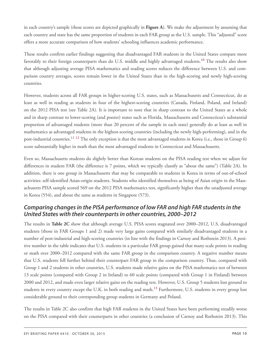in each country's sample (these scores are depicted graphically in **Figure A**). We make the adjustment by assuming that each country and state has the same proportion of students in each FAR group as the U.S. sample. This "adjusted" score offers a more accurate comparison of how students' schooling influences academic performance.

<span id="page-9-1"></span>These results confirm earlier findings suggesting that disadvantaged FAR students in the United States compare more favorably to their foreign counterparts than do U.S. middle and highly advantaged students.[10](#page-58-0) The results also show that although adjusting average PISA mathematics and reading scores reduces the difference between U.S. and comparison country averages, scores remain lower in the United States than in the high-scoring and newly high-scoring countries.

However, students across all FAR groups in higher-scoring U.S. states, such as Massachusetts and Connecticut, do at least as well in reading as students in four of the highest-scoring countries (Canada, Finland, Poland, and Ireland) on the 2012 PISA test (see Table 2A). It is important to note that in sharp contrast to the United States as a whole and in sharp contrast to lower-scoring (and poorer) states such as Florida, Massachusetts and Connecticut's substantial proportion of advantaged students (more than 20 percent of the sample in each state) generally do at least as well in mathematics as advantaged students in the highest-scoring countries (including the newly high-performing), and in the post-industrial countries.<sup>[11](#page-58-1) [12](#page-58-2)</sup> The only exception is that the most advantaged students in Korea (i.e., those in Group 6) score substantially higher in math than the most advantaged students in Connecticut and Massachusetts.

<span id="page-9-2"></span>Even so, Massachusetts students do slightly better than Korean students on the PISA reading test when we adjust for differences in student FAR (the difference is 7 points, which we typically classify as "about the same") (Table 2A). In addition, there is one group in Massachusetts that may be comparable to students in Korea in terms of out-of-school activities: self-identified Asian-origin students. Students who identified themselves as being of Asian origin in the Massachusetts PISA sample scored 569 on the 2012 PISA mathematics test, significantly higher than the unadjusted average in Korea (554), and about the same as students in Singapore (573).

# <span id="page-9-0"></span>*Comparing changes in the PISA performance of low FAR and high FAR students in the United States with their counterparts in other countries, 2000–2012*

The results in **Table 2C** show that although average U.S. PISA scores stagnated over 2000–2012, U.S. disadvantaged students (those in FAR Groups 1 and 2) made very large gains compared with similarly disadvantaged students in a number of post-industrial and high-scoring countries (in line with the findings in Carnoy and Rothstein 2013). A positive number in the table indicates that U.S. students in a particular FAR group gained that many scale points in reading or math over 2000–2012 compared with the same FAR group in the comparison country. A negative number means that U.S. students fell further behind their counterpart FAR group in the comparison country. Thus, compared with Group 1 and 2 students in other countries, U.S. students made relative gains on the PISA mathematics test of between 13 scale points (compared with Group 2 in Ireland) to 60 scale points (compared with Group 1 in Finland) between 2000 and 2012, and made even larger relative gains on the reading test. However, U.S. Group 5 students lost ground to students in every country except the U.K. in both reading and math.<sup>[13](#page-58-3)</sup> Furthermore, U.S. students in every group lost considerable ground to their corresponding group students in Germany and Poland.

<span id="page-9-3"></span>The results in Table 2C also confirm that high FAR students in the United States have been performing steadily worse on the PISA compared with their counterparts in other countries (a conclusion of Carnoy and Rothstein 2013). This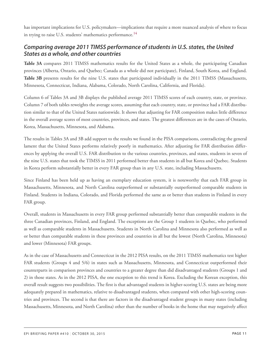<span id="page-10-1"></span>has important implications for U.S. policymakers—implications that require a more nuanced analysis of where to focus in trying to raise U.S. students' mathematics performance.<sup>[14](#page-58-4)</sup>

### <span id="page-10-0"></span>*Comparing average 2011 TIMSS performance of students in U.S. states, the United States as a whole, and other countries*

**Table 3A** compares 2011 TIMSS mathematics results for the United States as a whole, the participating Canadian provinces (Alberta, Ontario, and Quebec; Canada as a whole did not participate), Finland, South Korea, and England. **Table 3B** presents results for the nine U.S. states that participated individually in the 2011 TIMSS (Massachusetts, Minnesota, Connecticut, Indiana, Alabama, Colorado, North Carolina, California, and Florida).

Column 6 of Tables 3A and 3B displays the published average 2011 TIMSS scores of each country, state, or province. Column 7 of both tables reweights the average scores, assuming that each country, state, or province had a FAR distribution similar to that of the United States nationwide. It shows that adjusting for FAR composition makes little difference in the overall average scores of most countries, provinces, and states. The greatest differences are in the cases of Ontario, Korea, Massachusetts, Minnesota, and Alabama.

The results in Tables 3A and 3B add support to the results we found in the PISA comparisons, contradicting the general lament that the United States performs relatively poorly in mathematics. After adjusting for FAR distribution differences by applying the overall U.S. FAR distribution to the various countries, provinces, and states, students in seven of the nine U.S. states that took the TIMSS in 2011 performed better than students in all but Korea and Quebec. Students in Korea perform substantially better in every FAR group than in any U.S. state, including Massachusetts.

Since Finland has been held up as having an exemplary education system, it is noteworthy that each FAR group in Massachusetts, Minnesota, and North Carolina outperformed or substantially outperformed comparable students in Finland. Students in Indiana, Colorado, and Florida performed the same as or better than students in Finland in every FAR group.

Overall, students in Massachusetts in every FAR group performed substantially better than comparable students in the three Canadian provinces, Finland, and England. The exceptions are the Group 1 students in Quebec, who performed as well as comparable students in Massachusetts. Students in North Carolina and Minnesota also performed as well as or better than comparable students in these provinces and countries in all but the lowest (North Carolina, Minnesota) and lower (Minnesota) FAR groups.

As in the case of Massachusetts and Connecticut in the 2012 PISA results, on the 2011 TIMSS mathematics test higher FAR students (Groups 4 and 5/6) in states such as Massachusetts, Minnesota, and Connecticut outperformed their counterparts in comparison provinces and countries to a greater degree than did disadvantaged students (Groups 1 and 2) in those states. As in the 2012 PISA, the one exception to this trend is Korea. Excluding the Korean exception, this overall result suggests two possibilities. The first is that advantaged students in higher-scoring U.S. states are being more adequately prepared in mathematics, relative to disadvantaged students, when compared with other high-scoring countries and provinces. The second is that there are factors in the disadvantaged student groups in many states (including Massachusetts, Minnesota, and North Carolina) other than the number of books in the home that may negatively affect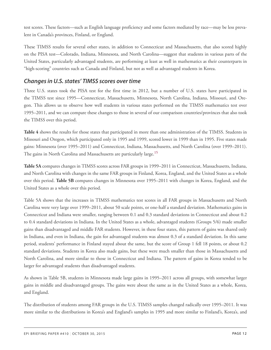test scores. These factors—such as English language proficiency and some factors mediated by race—may be less prevalent in Canada's provinces, Finland, or England.

These TIMSS results for several other states, in addition to Connecticut and Massachusetts, that also scored highly on the PISA test—Colorado, Indiana, Minnesota, and North Carolina—suggest that students in various parts of the United States, particularly advantaged students, are performing at least as well in mathematics as their counterparts in "high-scoring" countries such as Canada and Finland, but not as well as advantaged students in Korea.

### <span id="page-11-0"></span>*Changes in U.S. states' TIMSS scores over time*

Three U.S. states took the PISA test for the first time in 2012, but a number of U.S. states have participated in the TIMSS test since 1995—Connecticut, Massachusetts, Minnesota, North Carolina, Indiana, Missouri, and Oregon. This allows us to observe how well students in various states performed on the TIMSS mathematics test over 1995–2011, and we can compare these changes to those in several of our comparison countries/provinces that also took the TIMSS over this period.

**Table 4** shows the results for those states that participated in more than one administration of the TIMSS. Students in Missouri and Oregon, which participated only in 1995 and 1999, scored lower in 1999 than in 1995. Five states made gains: Minnesota (over 1995–2011) and Connecticut, Indiana, Massachusetts, and North Carolina (over 1999–2011). The gains in North Carolina and Massachusetts are particularly large.<sup>[15](#page-58-5)</sup>

<span id="page-11-1"></span>**Table 5A** compares changes in TIMSS scores across FAR groups in 1999–2011 in Connecticut, Massachusetts, Indiana, and North Carolina with changes in the same FAR groups in Finland, Korea, England, and the United States as a whole over this period. **Table 5B** compares changes in Minnesota over 1995–2011 with changes in Korea, England, and the United States as a whole over this period.

Table 5A shows that the increases in TIMSS mathematics test scores in all FAR groups in Massachusetts and North Carolina were very large over 1999–2011, about 50 scale points, or one-half a standard deviation. Mathematics gains in Connecticut and Indiana were smaller, ranging between 0.1 and 0.3 standard deviations in Connecticut and about 0.2 to 0.4 standard deviations in Indiana. In the United States as a whole, advantaged students (Groups 5/6) made smaller gains than disadvantaged and middle FAR students. However, in these four states, this pattern of gains was shared only in Indiana, and even in Indiana, the gain for advantaged students was almost 0.3 of a standard deviation. In this same period, students' performance in Finland stayed about the same, but the score of Group 1 fell 18 points, or about 0.2 standard deviations. Students in Korea also made gains, but these were much smaller than those in Massachusetts and North Carolina, and more similar to those in Connecticut and Indiana. The pattern of gains in Korea tended to be larger for advantaged students than disadvantaged students.

As shown in Table 5B, students in Minnesota made large gains in 1995–2011 across all groups, with somewhat larger gains in middle and disadvantaged groups. The gains were about the same as in the United States as a whole, Korea, and England.

The distribution of students among FAR groups in the U.S. TIMSS samples changed radically over 1995–2011. It was more similar to the distributions in Korea's and England's samples in 1995 and more similar to Finland's, Korea's, and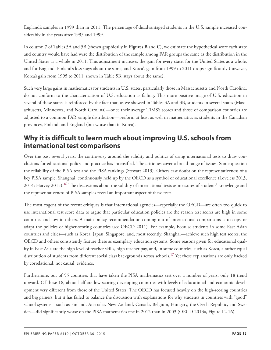England's samples in 1999 than in 2011. The percentage of disadvantaged students in the U.S. sample increased considerably in the years after 1995 and 1999.

In column 7 of Tables 5A and 5B (shown graphically in **Figures B** and **C**), we estimate the hypothetical score each state and country would have had were the distribution of the sample among FAR groups the same as the distribution in the United States as a whole in 2011. This adjustment increases the gain for every state, for the United States as a whole, and for England. Finland's loss stays about the same, and Korea's gain from 1999 to 2011 drops significantly (however, Korea's gain from 1995 to 2011, shown in Table 5B, stays about the same).

Such very large gains in mathematics for students in U.S. states, particularly those in Massachusetts and North Carolina, do not conform to the characterization of U.S. education as failing. This more positive image of U.S. education in several of these states is reinforced by the fact that, as we showed in Tables 3A and 3B, students in several states (Massachusetts, Minnesota, and North Carolina)—once their average TIMSS scores and those of comparison countries are adjusted to a common FAR sample distribution—perform at least as well in mathematics as students in the Canadian provinces, Finland, and England (but worse than in Korea).

# <span id="page-12-0"></span>**Why it is difficult to learn much about improving U.S. schools from international test comparisons**

Over the past several years, the controversy around the validity and politics of using international tests to draw conclusions for educational policy and practice has intensified. The critiques cover a broad range of issues. Some question the reliability of the PISA test and the PISA rankings (Stewart 2013). Others cast doubt on the representativeness of a key PISA sample, Shanghai, continuously held up by the OECD as a symbol of educational excellence (Loveless 2013, 2014; Harvey 2015).[16](#page-58-6) The discussions about the validity of international tests as measures of students' knowledge and the representativeness of PISA samples reveal an important aspect of these tests.

<span id="page-12-1"></span>The most cogent of the recent critiques is that international agencies—especially the OECD—are often too quick to use international test score data to argue that particular education policies are the reason test scores are high in some countries and low in others. A main policy recommendation coming out of international comparisons is to copy or adapt the policies of higher-scoring countries (see OECD 2011). For example, because students in some East Asian countries and cities—such as Korea, Japan, Singapore, and, most recently, Shanghai—achieve such high test scores, the OECD and others consistently feature these as exemplary education systems. Some reasons given for educational quality in East Asia are the high level of teacher skills, high teacher pay, and, in some countries, such as Korea, a rather equal distribution of students from different social class backgrounds across schools.<sup>[17](#page-58-7)</sup> Yet these explanations are only backed by correlational, not causal, evidence.

<span id="page-12-2"></span>Furthermore, out of 55 countries that have taken the PISA mathematics test over a number of years, only 18 trend upward. Of these 18, about half are low-scoring developing countries with levels of educational and economic development very different from those of the United States. The OECD has focused heavily on the high-scoring countries and big gainers, but it has failed to balance the discussion with explanations for why students in countries with "good" school systems—such as Finland, Australia, New Zealand, Canada, Belgium, Hungary, the Czech Republic, and Sweden—did significantly worse on the PISA mathematics test in 2012 than in 2003 (OECD 2013a, Figure I.2.16).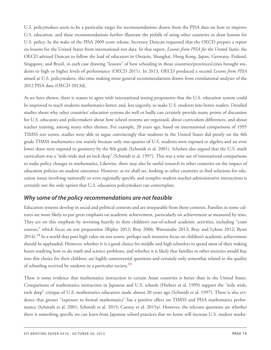U.S. policymakers seem to be a particular target for recommendations drawn from the PISA data on how to improve U.S. education, and these recommendations further illustrate the pitfalls of using other countries to draw lessons for U.S. policy. In the wake of the PISA 2009 score release, Secretary Duncan requested that the OECD prepare a report on lessons for the United States from international test data. In that report, *Lessons from PISA for the United States*, the OECD advised Duncan to follow the lead of educators in Ontario, Shanghai, Hong Kong, Japan, Germany, Finland, Singapore, and Brazil, in each case drawing "lessons" of how schooling in those countries/provinces/cities brought students to high or higher levels of performance (OECD 2011). In 2013, OECD produced a second *Lessons from PISA* aimed at U.S. policymakers, this time making more general recommendations drawn from correlational analyses of the 2012 PISA data (OECD 2013d).

As we have shown, there is reason to agree with international testing proponents that the U.S. education system could be improved to teach students mathematics better, and, less urgently, to make U.S. students into better readers. Detailed studies about why other countries' education systems do well or badly can certainly provide many points of discussion for U.S. educators and policymakers about how school systems are organized, about curriculum differences, and about teacher training, among many other themes. For example, 20 years ago, based on international comparisons of 1995 TIMSS test scores, studies were able to argue convincingly that students in the United States did poorly on the 8th grade TIMSS mathematics test mainly because only one-quarter of U.S. students were exposed to algebra and an even lower share were exposed to geometry by the 8th grade (Schmidt et al. 2001). Scholars also argued that the U.S. math curriculum was a "mile wide and an inch deep" (Schmidt et al. 1997). This was a wise use of international comparisons to make policy changes in mathematics. Likewise, there may also be useful research in other countries on the impact of education policies on student outcomes. However, as we shall see, looking to other countries to find solutions for education issues involving nationally or even regionally specific and complex student-teacher-administrative interactions is certainly not the only option that U.S. education policymakers can contemplate.

### <span id="page-13-0"></span>*Why some of the policy recommendations are not feasible*

<span id="page-13-1"></span>Education systems develop in social and political contexts and are inseparable from those contexts. Families in some cultures are more likely to put great emphasis on academic achievement, particularly on achievement as measured by tests. They act on this emphasis by investing heavily in their children's out-of-school academic activities, including "cram courses," which focus on test preparation (Ripley 2012; Bray 2006; Wantanabe 2013; Bray and Lykins 2012; Byun 2014).<sup>[18](#page-59-0)</sup> In a world that puts high value on test scores, perhaps such intensive focus on children's academic achievement should be applauded. However, whether it is a good choice for middle and high schoolers to spend most of their waking hours studying how to do math and science problems, and whether it is likely that families in other societies would buy into this choice for their children, are highly controversial questions and certainly only somewhat related to the quality of schooling received by students in a particular society.<sup>[19](#page-59-1)</sup>

<span id="page-13-2"></span>There is some evidence that mathematics instruction in certain Asian countries is better than in the United States. Comparisons of mathematics instruction in Japanese and U.S. schools (Hiebert et al. 1999) support the "mile wide, inch deep" critique of U.S. mathematics education made almost 20 years ago (Schmidt et al. 1997). There is also evidence that greater "exposure to formal mathematics" has a positive effect on TIMSS and PISA mathematics performance (Schmidt et al. 2001; Schmidt et al. 2015; Carnoy et al. 2015a). However, the relevant questions are whether there is something specific we can learn from Japanese school practices that we know will increase U.S. student mathe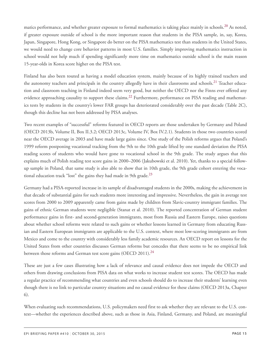<span id="page-14-0"></span>matics performance, and whether greater exposure to formal mathematics is taking place mainly in schools.<sup>[20](#page-59-2)</sup> As noted, if greater exposure outside of school is the more important reason that students in the PISA sample, in, say, Korea, Japan, Singapore, Hong Kong, or Singapore do better on the PISA mathematics test than students in the United States, we would need to change core behavior patterns in most U.S. families. Simply improving mathematics instruction in school would not help much if spending significantly more time on mathematics outside school is the main reason 15-year-olds in Korea score higher on the PISA test.

<span id="page-14-2"></span><span id="page-14-1"></span>Finland has also been touted as having a model education system, mainly because of its highly trained teachers and the autonomy teachers and principals in the country allegedly have in their classrooms and schools.<sup>[21](#page-59-3)</sup> Teacher education and classroom teaching in Finland indeed seem very good, but neither the OECD nor the Finns ever offered any evidence approaching causality to support these claims.<sup>[22](#page-59-4)</sup> Furthermore, performance on PISA reading and mathematics tests by students in the country's lower FAR groups has deteriorated considerably over the past decade (Table 2C), though this decline has not been addressed by PISA analyses.

Two recent examples of "successful" reforms featured in OECD reports are those undertaken by Germany and Poland (OECD 2013b, Volume II, Box II.3.2; OECD 2013c, Volume IV, Box IV.2.1). Students in those two countries scored near the OECD average in 2003 and have made large gains since. One study of the Polish reforms argues that Poland's 1999 reform postponing vocational tracking from the 9th to the 10th grade lifted by one standard deviation the PISA reading scores of students who would have gone to vocational school in the 9th grade. The study argues that this explains much of Polish reading test score gains in 2000–2006 (Jakubowski et al. 2010). Yet, thanks to a special followup sample in Poland, that same study is also able to show that in 10th grade, the 9th grade cohort entering the vocational education track "lost" the gains they had made in 9th grade. $^{23}$  $^{23}$  $^{23}$ 

<span id="page-14-3"></span>Germany had a PISA-reported increase in its sample of disadvantaged students in the 2000s, making the achievement in that decade of substantial gains for such students more interesting and impressive. Nevertheless, the gain in average test scores from 2000 to 2009 apparently came from gains made by children from Slavic-country immigrant families. The gains of ethnic German students were negligible (Stanat et al. 2010). The reported concentration of German student performance gains in first- and second-generation immigrants, most from Russia and Eastern Europe, raises questions about whether school reforms were related to such gains or whether lessons learned in Germany from educating Russian and Eastern European immigrants are applicable to the U.S. context, where most low-scoring immigrants are from Mexico and come to the country with considerably less family academic resources. An OECD report on lessons for the United States from other countries discusses German reforms but concedes that there seems to be no empirical link between those reforms and German test score gains (OECD 2011).<sup>[24](#page-59-6)</sup>

<span id="page-14-4"></span>These are just a few cases illustrating how a lack of relevance and causal evidence does not impede the OECD and others from drawing conclusions from PISA data on what works to increase student test scores. The OECD has made a regular practice of recommending what countries and even schools should do to increase their students' learning even though there is no link to particular country situations and no causal evidence for these claims (OECD 2013a, Chapter 6).

When evaluating such recommendations, U.S. policymakers need first to ask whether they are relevant to the U.S. context—whether the experiences described above, such as those in Asia, Finland, Germany, and Poland, are meaningful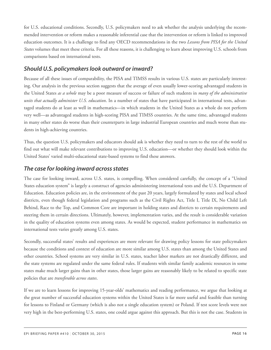for U.S. educational conditions. Secondly, U.S. policymakers need to ask whether the analysis underlying the recommended intervention or reform makes a reasonable inferential case that the intervention or reform is linked to improved education outcomes. It is a challenge to find any OECD recommendations in the two *Lessons from PISA for the United States* volumes that meet these criteria. For all these reasons, it is challenging to learn about improving U.S. schools from comparisons based on international tests.

### <span id="page-15-0"></span>*Should U.S. policymakers look outward or inward?*

Because of all these issues of comparability, the PISA and TIMSS results in various U.S. states are particularly interesting. Our analysis in the previous section suggests that the average of even usually lower-scoring advantaged students in the United States *as a whole* may be a poor measure of success or failure of such students in *many of the administrative units that actually administer U.S. education*. In a number of states that have participated in international tests, advantaged students do at least as well in mathematics—in which students in the United States as a whole do not perform very well—as advantaged students in high-scoring PISA and TIMSS countries. At the same time, advantaged students in many other states do worse than their counterparts in large industrial European countries and much worse than students in high-achieving countries.

Thus, the question U.S. policymakers and educators should ask is whether they need to turn to the rest of the world to find out what will make relevant contributions to improving U.S. education—or whether they should look within the United States' varied multi-educational state-based systems to find these answers.

### <span id="page-15-1"></span>*The case for looking inward across states*

The case for looking inward, across U.S. states, is compelling. When considered carefully, the concept of a "United States education system" is largely a construct of agencies administering international tests and the U.S. Department of Education. Education policies are, in the environment of the past 20 years, largely formulated by states and local school districts, even though federal legislation and programs such as the Civil Rights Act, Title I, Title IX, No Child Left Behind, Race to the Top, and Common Core are important in holding states and districts to certain requirements and steering them in certain directions. Ultimately, however, implementation varies, and the result is considerable variation in the quality of education systems even among states. As would be expected, student performance in mathematics on international tests varies greatly among U.S. states.

Secondly, successful states' results and experiences are more relevant for drawing policy lessons for state policymakers because the conditions and context of education are more similar among U.S. states than among the United States and other countries. School systems are very similar in U.S. states, teacher labor markets are not drastically different, and the state systems are regulated under the same federal rules. If students with similar family academic resources in some states make much larger gains than in other states, those larger gains are reasonably likely to be related to specific state policies that are *transferable across states*.

If we are to learn lessons for improving 15-year-olds' mathematics and reading performance, we argue that looking at the great number of successful education systems within the United States is far more useful and feasible than turning for lessons to Finland or Germany (which is also not a single education system) or Poland. If test score levels were not very high in the best-performing U.S. states, one could argue against this approach. But this is not the case. Students in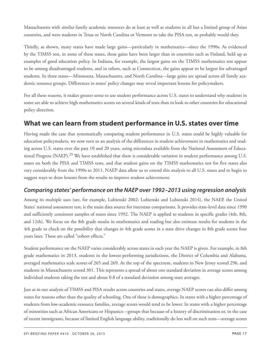Massachusetts with similar family academic resources do at least as well as students in all but a limited group of Asian countries, and were students in Texas or North Carolina or Vermont to take the PISA test, so probably would they.

Thirdly, as shown, many states have made large gains—particularly in mathematics—since the 1990s. As evidenced by the TIMSS test, in some of these states, these gains have been larger than in countries such as Finland, held up as examples of good education policy. In Indiana, for example, the largest gains on the TIMSS mathematics test appear to be among disadvantaged students, and in others, such as Connecticut, the gains appear to be largest for advantaged students. In three states—Minnesota, Massachusetts, and North Carolina—large gains are spread across all family academic resource groups. Differences in states' policy changes may reveal important lessons for policymakers.

For all these reasons, it makes greater sense to use student performance across U.S. states to understand why students in some are able to achieve high mathematics scores on several kinds of tests than to look to other countries for educational policy direction.

# <span id="page-16-0"></span>**What we can learn from student performance in U.S. states over time**

<span id="page-16-2"></span>Having made the case that systematically comparing student performance in U.S. states could be highly valuable for education policymakers, we now turn to an analysis of the differences in student achievement in mathematics and reading across U.S. states over the past 10 and 20 years, using microdata available from the National Assessment of Educa-tional Progress (NAEP).<sup>[25](#page-59-7)</sup> We have established that there is considerable variation in student performance among U.S. states on both the PISA and TIMSS tests, and that student gains on the TIMSS mathematics test for five states also vary considerably from the 1990s to 2011. NAEP data allow us to extend this analysis to all U.S. states and to begin to suggest ways to draw lessons from the results to improve student achievement.

### <span id="page-16-1"></span>*Comparing states' performance on the NAEP over 1992–2013 using regression analysis*

Among its multiple uses (see, for example, Lubienski 2002; Lubienski and Lubienski 2014), the NAEP, the United States' national assessment test, is the main data source for interstate comparisons. It provides state-level data since 1990 and sufficiently consistent samples of states since 1992. The NAEP is applied to students in specific grades (4th, 8th, and 12th). We focus on the 8th grade results in mathematics and reading but also estimate results for students in the 4th grade to check on the possibility that changes in 4th grade scores in a state drive changes in 8th grade scores four years later. These are called "cohort effects."

Student performance on the NAEP varies considerably across states in each year the NAEP is given. For example, in 8th grade mathematics in 2013, students in the lowest-performing jurisdictions, the District of Columbia and Alabama, averaged mathematics scale scores of 265 and 269. At the top of the spectrum, students in New Jersey scored 296, and students in Massachusetts scored 301. This represents a spread of about one standard deviation in average scores among individual students taking the test and about 0.8 of a standard deviation among state averages.

Just as in our analysis of TIMSS and PISA results across countries and states, average NAEP scores can also differ among states for reasons other than the quality of schooling. One of these is demographics. In states with a higher percentage of students from low-academic-resource families, average scores would tend to be lower. In states with a higher percentage of minorities such as African Americans or Hispanics—groups that because of a history of discrimination or, in the case of recent immigrants, because of limited English language ability, traditionally do less well on such tests—average scores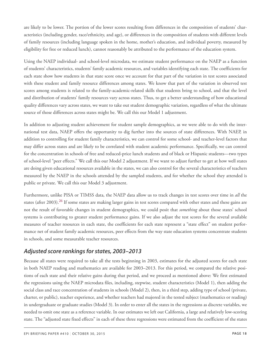are likely to be lower. The portion of the lower scores resulting from differences in the composition of students' characteristics (including gender, race/ethnicity, and age), or differences in the composition of students with different levels of family resources (including language spoken in the home, mother's education, and individual poverty, measured by eligibility for free or reduced lunch), cannot reasonably be attributed to the performance of the education system.

Using the NAEP individual- and school-level microdata, we estimate student performance on the NAEP as a function of students' characteristics, students' family academic resources, and variables identifying each state. The coefficients for each state show how students in that state score once we account for that part of the variation in test scores associated with these student and family resource differences among states. We know that part of the variation in observed test scores among students is related to the family-academic-related skills that students bring to school, and that the level and distribution of students' family resources vary across states. Thus, to get a better understanding of how educational quality differences vary across states, we want to take out student demographic variation, regardless of what the ultimate source of those differences across states might be. We call this our Model 1 adjustment.

In addition to adjusting student achievement for student sample demographics, as we were able to do with the international test data, NAEP offers the opportunity to dig further into the sources of state differences. With NAEP, in addition to controlling for student family characteristics, we can control for some school- and teacher-level factors that may differ across states and are likely to be correlated with student academic performance. Specifically, we can control for the concentration in schools of free and reduced-price lunch students and of black or Hispanic students—two types of school-level "peer effects." We call this our Model 2 adjustment. If we want to adjust further to get at how well states are doing given educational resources available in the states, we can also control for the several characteristics of teachers measured by the NAEP in the schools attended by the sampled students, and for whether the school they attended is public or private. We call this our Model 3 adjustment.

<span id="page-17-1"></span>Furthermore, unlike PISA or TIMSS data, the NAEP data allow us to track changes in test scores over time in *all* the states (after 2003).[26](#page-59-8) If some states are making larger gains in test scores compared with other states and these gains are not the result of favorable changes in student demographics, we could posit that *something* about those states' school systems is contributing to greater student performance gains. If we also adjust the test scores for the several available measures of teacher resources in each state, the coefficients for each state represent a "state effect" on student performance net of student family academic resources, peer effects from the way state education systems concentrate students in schools, and some measurable teacher resources.

### <span id="page-17-0"></span>*Adjusted score rankings for states, 2003–2013*

Because all states were required to take all the tests beginning in 2003, estimates for the adjusted scores for each state in both NAEP reading and mathematics are available for 2003–2013. For this period, we compared the relative positions of each state and their relative gains during that period, and we proceed as mentioned above: We first estimated the regressions using the NAEP microdata files, including, stepwise, student characteristics (Model 1), then adding the social class and race concentration of students in schools (Model 2), then, in a third step, adding type of school (private, charter, or public), teacher experience, and whether teachers had majored in the tested subject (mathematics or reading) in undergraduate or graduate studies (Model 3). In order to enter all the states in the regressions as discrete variables, we needed to omit one state as a reference variable. In our estimates we left out California, a large and relatively low-scoring state. The "adjusted state fixed effects" in each of these three regressions were estimated from the coefficient of the states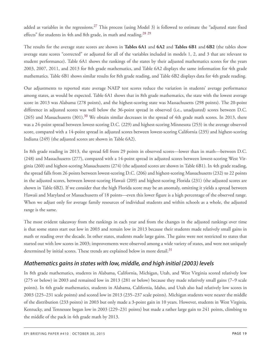<span id="page-18-2"></span><span id="page-18-1"></span>added as variables in the regressions.<sup>[27](#page-60-0)</sup> This process (using Model 3) is followed to estimate the "adjusted state fixed effects" for students in 4th and 8th grade, in math and reading.<sup>[28](#page-60-1)</sup><sup>[29](#page-60-2)</sup>

The results for the average state scores are shown in **Tables 6A1** and **6A2** and **Tables 6B1** and **6B2** (the tables show average state scores "corrected" or adjusted for all of the variables included in models 1, 2, and 3 that are relevant to student performance). Table 6A1 shows the rankings of the states by their adjusted mathematics scores for the years 2003, 2007, 2011, and 2013 for 8th grade mathematics, and Table 6A2 displays the same information for 4th grade mathematics. Table 6B1 shows similar results for 8th grade reading, and Table 6B2 displays data for 4th grade reading.

<span id="page-18-3"></span>Our adjustments to reported state average NAEP test scores reduce the variation in students' average performance among states, as would be expected. Table 6A1 shows that in 8th grade mathematics, the state with the lowest average score in 2013 was Alabama (278 points), and the highest-scoring state was Massachusetts (298 points). The 20-point difference in adjusted scores was well below the 36-point spread in observed (i.e., unadjusted) scores between D.C. (265) and Massachusetts ([30](#page-60-3)1).<sup>30</sup> We obtain similar decreases in the spread of 4th grade math scores. In 2013, there was a 24-point spread between lowest-scoring D.C. (229) and highest-scoring Minnesota (253) in the average observed score, compared with a 14-point spread in adjusted scores between lowest-scoring California (235) and highest-scoring Indiana (249) (the adjusted scores are shown in Table 6A2).

In 8th grade reading in 2013, the spread fell from 29 points in observed scores—lower than in math—between D.C. (248) and Massachusetts (277), compared with a 14-point spread in adjusted scores between lowest-scoring West Virginia (260) and highest-scoring Massachusetts (274) (the adjusted scores are shown in Table 6B1). In 4th grade reading, the spread falls from 26 points between lowest-scoring D.C. (206) and highest-scoring Massachusetts (232) to 22 points in the adjusted scores, between lowest-scoring Hawaii (209) and highest-scoring Florida (231) (the adjusted scores are shown in Table 6B2). If we consider that the high Florida score may be an anomaly, omitting it yields a spread between Hawaii and Maryland or Massachusetts of 18 points—even this lower figure is a high percentage of the observed range. When we adjust only for average family resources of individual students and within schools as a whole, the adjusted range is the same.

The most evident takeaway from the rankings in each year and from the changes in the adjusted rankings over time is that some states start out low in 2003 and remain low in 2013 because their students made relatively small gains in math or reading over the decade. In other states, students made large gains. The gains were not restricted to states that started out with low scores in 2003; improvements were observed among a wide variety of states, and were not uniquely determined by initial scores. These trends are explained below in more detail.<sup>[31](#page-60-4)</sup>

### <span id="page-18-4"></span><span id="page-18-0"></span>*Mathematics gains in states with low, middle, and high initial (2003) levels*

In 8th grade mathematics, students in Alabama, California, Michigan, Utah, and West Virginia scored relatively low (275 or below) in 2003 and remained low in 2013 (281 or below) because they made relatively small gains (7–9 scale points). In 4th grade mathematics, students in Alabama, California, Idaho, and Utah also had relatively low scores in 2003 (225–231 scale points) and scored low in 2013 (235–237 scale points). Michigan students were nearer the middle of the distribution (233 points) in 2003 but only made a 3-point gain in 10 years. However, students in West Virginia, Kentucky, and Tennessee began low in 2003 (229–231 points) but made a rather large gain to 241 points, climbing to the middle of the pack in 4th grade math by 2013.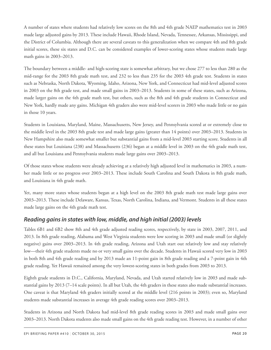A number of states where students had relatively low scores on the 8th and 4th grade NAEP mathematics test in 2003 made large adjusted gains by 2013. These include Hawaii, Rhode Island, Nevada, Tennessee, Arkansas, Mississippi, and the District of Columbia. Although there are several caveats to this generalization when we compare 4th and 8th grade initial scores, these six states and D.C. can be considered examples of lower-scoring states whose students made large math gains in 2003–2013.

The boundary between a middle- and high-scoring state is somewhat arbitrary, but we chose 277 to less than 280 as the mid-range for the 2003 8th grade math test, and 232 to less than 235 for the 2003 4th grade test. Students in states such as Nebraska, North Dakota, Wyoming, Idaho, Arizona, New York, and Connecticut had mid-level adjusted scores in 2003 on the 8th grade test, and made small gains in 2003–2013. Students in some of these states, such as Arizona, made larger gains on the 4th grade math test, but others, such as the 8th and 4th grade students in Connecticut and New York, hardly made any gains. Michigan 4th graders also were mid-level scorers in 2003 who made little or no gain in those 10 years.

Students in Louisiana, Maryland, Maine, Massachusetts, New Jersey, and Pennsylvania scored at or extremely close to the middle level in the 2003 8th grade test and made large gains (greater than 14 points) over 2003–2013. Students in New Hampshire also made somewhat smaller but substantial gains from a mid-level 2003 starting score. Students in all these states but Louisiana (238) and Massachusetts (236) began at a middle level in 2003 on the 4th grade math test, and all but Louisiana and Pennsylvania students made large gains over 2003–2013.

Of those states whose students were already achieving at a relatively high adjusted level in mathematics in 2003, a number made little or no progress over 2003–2013. These include South Carolina and South Dakota in 8th grade math, and Louisiana in 4th grade math.

Yet, many more states whose students began at a high level on the 2003 8th grade math test made large gains over 2003–2013. These include Delaware, Kansas, Texas, North Carolina, Indiana, and Vermont. Students in all these states made large gains on the 4th grade math test.

### <span id="page-19-0"></span>*Reading gains in states with low, middle, and high initial (2003) levels*

Tables 6B1 and 6B2 show 8th and 4th grade adjusted reading scores, respectively, by state in 2003, 2007, 2011, and 2013. In 8th grade reading, Alabama and West Virginia students were low scoring in 2003 and made small (or slightly negative) gains over 2003–2013. In 4th grade reading, Arizona and Utah start out relatively low and stay relatively low—their 4th grade students made no or very small gains over the decade. Students in Hawaii scored very low in 2003 in both 8th and 4th grade reading and by 2013 made an 11-point gain in 8th grade reading and a 7-point gain in 4th grade reading. Yet Hawaii remained among the very lowest-scoring states in both grades from 2003 to 2013.

Eighth grade students in D.C., California, Maryland, Nevada, and Utah started relatively low in 2003 and made substantial gains by 2013 (7–14 scale points). In all but Utah, the 4th graders in these states also made substantial increases. One caveat is that Maryland 4th graders initially scored at the middle level (216 points in 2003); even so, Maryland students made substantial increases in average 4th grade reading scores over 2003–2013.

Students in Arizona and North Dakota had mid-level 8th grade reading scores in 2003 and made small gains over 2003–2013. North Dakota students also made small gains on the 4th grade reading test. However, in a number of other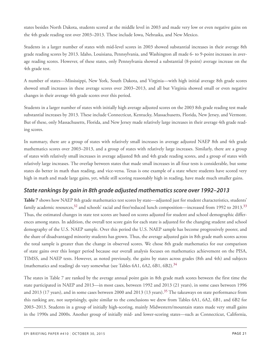states besides North Dakota, students scored at the middle level in 2003 and made very low or even negative gains on the 4th grade reading test over 2003–2013. These include Iowa, Nebraska, and New Mexico.

Students in a larger number of states with mid-level scores in 2003 showed substantial increases in their average 8th grade reading scores by 2013. Idaho, Louisiana, Pennsylvania, and Washington all made 6- to 9-point increases in average reading scores. However, of these states, only Pennsylvania showed a substantial (8-point) average increase on the 4th grade test.

A number of states—Mississippi, New York, South Dakota, and Virginia—with high initial average 8th grade scores showed small increases in these average scores over 2003–2013, and all but Virginia showed small or even negative changes in their average 4th grade scores over this period.

Students in a larger number of states with initially high average adjusted scores on the 2003 8th grade reading test made substantial increases by 2013. These include Connecticut, Kentucky, Massachusetts, Florida, New Jersey, and Vermont. But of these, only Massachusetts, Florida, and New Jersey made relatively large increases in their average 4th grade reading scores.

In summary, there are a group of states with relatively small increases in average adjusted NAEP 8th and 4th grade mathematics scores over 2003–2013, and a group of states with relatively large increases. Similarly, there are a group of states with relatively small increases in average adjusted 8th and 4th grade reading scores, and a group of states with relatively large increases. The overlap between states that made small increases in all four tests is considerable, but some states do better in math than reading, and vice-versa. Texas is one example of a state where students have scored very high in math and made large gains, yet, while still scoring reasonably high in reading, have made much smaller gains.

### <span id="page-20-0"></span>*State rankings by gain in 8th grade adjusted mathematics score over 1992–2013*

<span id="page-20-1"></span>**Table 7** shows how NAEP 8th grade mathematics test scores by state—adjusted just for student characteristics, students' family academic resources,<sup>[32](#page-60-5)</sup> and schools' racial and free/reduced lunch composition—increased from 1992 to 2013.<sup>[33](#page-60-6)</sup> Thus, the estimated changes in state test scores are based on scores adjusted for student and school demographic differences among states. In addition, the overall test score gain for each state is adjusted for the changing student and school demography of the U.S. NAEP sample. Over this period the U.S. NAEP sample has become progressively poorer, and the share of disadvantaged minority students has grown. Thus, the average adjusted gain in 8th grade math scores across the total sample is greater than the change in observed scores. We chose 8th grade mathematics for our comparison of state gains over this longer period because our overall analysis focuses on mathematics achievement on the PISA, TIMSS, and NAEP tests. However, as noted previously, the gains by states across grades (8th and 4th) and subjects (mathematics and reading) do vary somewhat (see Tables 6A1, 6A2, 6B1, 6B2).<sup>[34](#page-60-7)</sup>

<span id="page-20-3"></span><span id="page-20-2"></span>The states in Table 7 are ranked by the average annual point gain in 8th grade math scores between the first time the state participated in NAEP and 2013—in most cases, between 1992 and 2013 (21 years), in some cases between 1996 and 2013 (17 years), and in some cases between 2000 and 2013 (13 years).<sup>[35](#page-60-8)</sup> The takeaways on state performance from this ranking are, not surprisingly, quite similar to the conclusions we drew from Tables 6A1, 6A2, 6B1, and 6B2 for 2003–2013. Students in a group of initially high-scoring, mainly Midwestern/mountain states made very small gains in the 1990s and 2000s. Another group of initially mid- and lower-scoring states—such as Connecticut, California,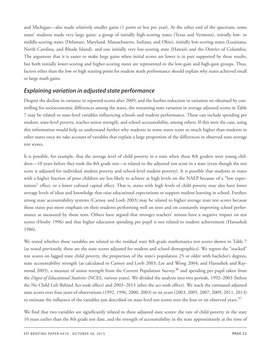and Michigan—also made relatively smaller gains (1 point or less per year). At the other end of the spectrum, some states' students made very large gains: a group of initially high-scoring states (Texas and Vermont), initially low- to middle-scoring states (Delaware, Maryland, Massachusetts, Indiana, and Ohio), initially low-scoring states (Louisiana, North Carolina, and Rhode Island), and one initially very low-scoring state (Hawaii) and the District of Columbia. The argument that it is easier to make large gains when initial scores are lower is in part supported by these results, but both initially lower-scoring and higher-scoring states are represented in the low-gain and high-gain groups. Thus, factors other than the low or high starting point for student math performance should explain why states achieved small or large math gains.

### <span id="page-21-0"></span>*Explaining variation in adjusted state performance*

Despite the decline in variance in reported scores after 2009, and the further reduction in variation we obtained by controlling for socioeconomic differences among the states, the remaining state variation in average adjusted scores in Table 7 may be related to state-level variables influencing schools and student performance. These can include spending per student, state-level poverty, teacher union strength, and school accountability, among others. If this were the case, using this information would help us understand further why students in some states score so much higher than students in other states once we take account of variables that explain a large proportion of the differences in observed state average test scores.

It is possible, for example, that the average level of child poverty in a state when these 8th graders were young children—10 years before they took the 8th grade test—is related to the adjusted test score in a state (even though the test score is adjusted for individual student poverty and school-level student poverty). It is possible that students in states with a higher fraction of poor children are less likely to achieve at high levels on the NAEP because of a "low expectations" effect, or a lower cultural capital effect. That is, states with high levels of child poverty may also have lower average levels of ideas and knowledge that raise educational expectations or support student learning in school. Further, strong state accountability systems (Carnoy and Loeb 2003) may be related to higher average state test scores because those states put more emphasis on their students performing well on tests and on constantly improving school performance as measured by those tests. Others have argued that stronger teachers' unions have a negative impact on test scores (Hoxby 1996) and that higher education spending per pupil is not related to student achievement (Hanushek 1986).

<span id="page-21-1"></span>We tested whether these variables are related to the residual state 8th grade mathematics test scores shown in Table 7 (as noted previously, these are the state scores adjusted for student and school demographics). We regress the "stacked" test scores on lagged state child poverty, the proportion of the state's population 25 or older with bachelor's degrees, state accountability strength (as calculated in Carnoy and Loeb 2003; Lee and Wong 2004; and Hanushek and Raymond 2005), a measure of union strength from the Current Population Survey, [36](#page-60-9) and spending per pupil taken from the *Digest of Educational Statistics* (NCES, various years). We divided the analysis into two periods, 1992–2003 (before the No Child Left Behind Act took effect) and 2003–2013 (after the act took effect). We stack the estimated adjusted state scores over four years of observations (1992, 1996, 2000, 2003) or six years (2003, 2005, 2007, 2009, 2011, 2013) to estimate the influence of the variables just described on state-level test scores over the four or six observed years.<sup>[37](#page-61-1)</sup>

<span id="page-21-2"></span>We find that two variables are significantly related to these adjusted state scores: the rate of child poverty in the state 10 years earlier than the 8th grade test date, and the strength of accountability in the state approximately at the time of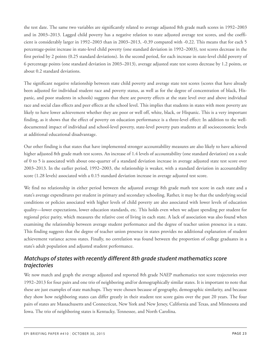the test date. The same two variables are significantly related to average adjusted 8th grade math scores in 1992–2003 and in 2003–2013. Lagged child poverty has a negative relation to state adjusted average test scores, and the coefficient is considerably larger in 1992–2003 than in 2003–2013, -0.39 compared with -0.22. This means that for each 5 percentage-point increase in state-level child poverty (one standard deviation in 1992–2003), test scores decrease in the first period by 2 points (0.25 standard deviations). In the second period, for each increase in state-level child poverty of 6 percentage points (one standard deviation in 2003–2013), average adjusted state test scores decrease by 1.2 points, or about 0.2 standard deviations.

The significant negative relationship between state child poverty and average state test scores (scores that have already been adjusted for individual student race and poverty status, as well as for the degree of concentration of black, Hispanic, and poor students in schools) suggests that there are poverty effects at the state level over and above individual race and social class effects and peer effects at the school level. This implies that students in states with more poverty are likely to have lower achievement whether they are poor or well off, white, black, or Hispanic. This is a very important finding, as it shows that the effect of poverty on education performance is a three-level effect: In addition to the welldocumented impact of individual and school-level poverty, state-level poverty puts students at all socioeconomic levels at additional educational disadvantage.

Our other finding is that states that have implemented stronger accountability measures are also likely to have achieved higher adjusted 8th grade math test scores. An increase of 1.4 levels of accountability (one standard deviation) on a scale of 0 to 5 is associated with about one-quarter of a standard deviation increase in average adjusted state test score over 2003–2013. In the earlier period, 1992–2003, the relationship is weaker, with a standard deviation in accountability score (1.28 levels) associated with a 0.15 standard deviation increase in average adjusted test score.

We find no relationship in either period between the adjusted average 8th grade math test score in each state and a state's average expenditures per student in primary and secondary schooling. Rather, it may be that the underlying social conditions or policies associated with higher levels of child poverty are also associated with lower levels of education quality—lower expectations, lower education standards, etc. This holds even when we adjust spending per student for regional price parity, which measures the relative cost of living in each state. A lack of association was also found when examining the relationship between average student performance and the degree of teacher union presence in a state. This finding suggests that the degree of teacher union presence in states provides no additional explanation of student achievement variance across states. Finally, no correlation was found between the proportion of college graduates in a state's adult population and adjusted student performance.

### <span id="page-22-0"></span>*Matchups of states with recently different 8th grade student mathematics score trajectories*

We now match and graph the average adjusted and reported 8th grade NAEP mathematics test score trajectories over 1992–2013 for four pairs and one trio of neighboring and/or demographically similar states. It is important to note that these are just examples of state matchups. They were chosen because of geography, demographic similarity, and because they show how neighboring states can differ greatly in their student test score gains over the past 20 years. The four pairs of states are Massachusetts and Connecticut, New York and New Jersey, California and Texas, and Minnesota and Iowa. The trio of neighboring states is Kentucky, Tennessee, and North Carolina.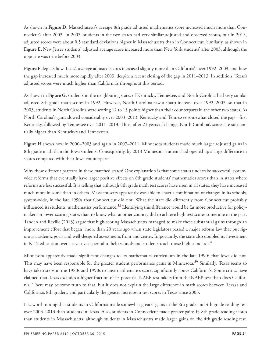As shown in **Figure D,** Massachusetts's average 8th grade adjusted mathematics score increased much more than Connecticut's after 2003. In 2003, students in the two states had very similar adjusted and observed scores, but in 2013, adjusted scores were about 0.5 standard deviations higher in Massachusetts than in Connecticut. Similarly, as shown in **Figure E,** New Jersey students' adjusted average score increased more than New York students' after 2003, although the opposite was true before 2003.

**Figure F** depicts how Texas's average adjusted scores increased slightly more than California's over 1992–2003, and how the gap increased much more rapidly after 2003, despite a recent closing of the gap in 2011–2013. In addition, Texas's adjusted scores were much higher than California's throughout this period.

As shown in **Figure G,** students in the neighboring states of Kentucky, Tennessee, and North Carolina had very similar adjusted 8th grade math scores in 1992. However, North Carolina saw a sharp increase over 1992–2003, so that in 2003, students in North Carolina were scoring 12 to 15 points higher than their counterparts in the other two states. As North Carolina's gains slowed considerably over 2003–2013, Kentucky and Tennessee somewhat closed the gap—first Kentucky, followed by Tennessee over 2011–2013. Thus, after 21 years of change, North Carolina's scores are substantially higher than Kentucky's and Tennessee's.

**Figure H** shows how in 2000–2003 and again in 2007–2011, Minnesota students made much larger adjusted gains in 8th grade math than did Iowa students. Consequently, by 2013 Minnesota students had opened up a large difference in scores compared with their Iowa counterparts.

<span id="page-23-0"></span>Why these different patterns in these matched states? One explanation is that some states undertake successful, systemwide reforms that eventually have larger positive effects on 8th grade students' mathematics scores than in states where reforms are less successful. It is telling that although 8th grade math test scores have risen in all states, they have increased much more in some than in others. Massachusetts apparently was able to enact a combination of changes in its schools, system-wide, in the late 1990s that Connecticut did not. What the state did differently from Connecticut probably influenced its students' mathematics performance.<sup>[38](#page-61-2)</sup> Identifying this difference would be far more productive for policymakers in lower-scoring states than to know what another country did to achieve high test scores sometime in the past. Tanden and Reville (2013) argue that high-scoring Massachusetts managed to make these substantial gains through an improvement effort that began "more than 20 years ago when state legislators passed a major reform law that put rigorous academic goals and well-designed assessments front and center. Importantly, the state also doubled its investment in K-12 education over a seven-year period to help schools and students reach those high standards."

<span id="page-23-1"></span>Minnesota apparently made significant changes to its mathematics curriculum in the late 1990s that Iowa did not. This may have been responsible for the greater student performance gains in Minnesota.<sup>[39](#page-61-3)</sup> Similarly, Texas seems to have taken steps in the 1980s and 1990s to raise mathematics scores significantly above California's. Some critics have claimed that Texas excludes a higher fraction of its potential NAEP test takers from the NAEP test than does California. There may be some truth to that, but it does not explain the large difference in math scores between Texas's and California's 8th graders, and particularly the greater increase in test scores in Texas since 2003.

It is worth noting that students in California made somewhat greater gains in the 8th grade and 4th grade reading test over 2003–2013 than students in Texas. Also, students in Connecticut made greater gains in 8th grade reading scores than students in Massachusetts, although students in Massachusetts made larger gains on the 4th grade reading test.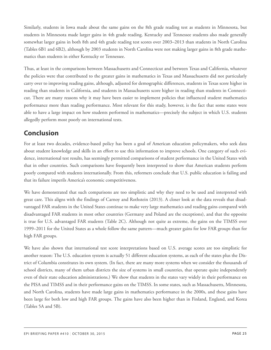Similarly, students in Iowa made about the same gains on the 8th grade reading test as students in Minnesota, but students in Minnesota made larger gains in 4th grade reading. Kentucky and Tennessee students also made generally somewhat larger gains in both 8th and 4th grade reading test scores over 2003–2013 than students in North Carolina (Tables 6B1 and 6B2), although by 2003 students in North Carolina were not making larger gains in 8th grade mathematics than students in either Kentucky or Tennessee.

Thus, at least in the comparisons between Massachusetts and Connecticut and between Texas and California, whatever the policies were that contributed to the greater gains in mathematics in Texas and Massachusetts did not particularly carry over to improving reading gains, although, adjusted for demographic differences, students in Texas score higher in reading than students in California, and students in Massachusetts score higher in reading than students in Connecticut. There are many reasons why it may have been easier to implement policies that influenced student mathematics performance more than reading performance. Most relevant for this study, however, is the fact that some states were able to have a large impact on how students performed in mathematics—precisely the subject in which U.S. students allegedly perform most poorly on international tests.

# <span id="page-24-0"></span>**Conclusion**

For at least two decades, evidence-based policy has been a goal of American education policymakers, who seek data about student knowledge and skills in an effort to use this information to improve schools. One category of such evidence, international test results, has seemingly permitted comparisons of student performance in the United States with that in other countries. Such comparisons have frequently been interpreted to show that American students perform poorly compared with students internationally. From this, reformers conclude that U.S. public education is failing and that its failure imperils America's economic competitiveness.

We have demonstrated that such comparisons are too simplistic and why they need to be used and interpreted with great care. This aligns with the findings of Carnoy and Rothstein (2013). A closer look at the data reveals that disadvantaged FAR students in the United States continue to make very large mathematics and reading gains compared with disadvantaged FAR students in most other countries (Germany and Poland are the exceptions), and that the opposite is true for U.S. advantaged FAR students (Table 2C). Although not quite as extreme, the gains on the TIMSS over 1999–2011 for the United States as a whole follow the same pattern—much greater gains for low FAR groups than for high FAR groups.

We have also shown that international test score interpretations based on U.S. average scores are too simplistic for another reason: The U.S. education system is actually 51 different education systems, as each of the states plus the District of Columbia constitutes its own system. (In fact, there are many more systems when we consider the thousands of school districts, many of them urban districts the size of systems in small countries, that operate quite independently even of their state education administrations.) We show that students in the states vary widely in their performance on the PISA and TIMSS and in their performance gains on the TIMSS. In some states, such as Massachusetts, Minnesota, and North Carolina, students have made large gains in mathematics performance in the 2000s, and these gains have been large for both low and high FAR groups. The gains have also been higher than in Finland, England, and Korea (Tables 5A and 5B).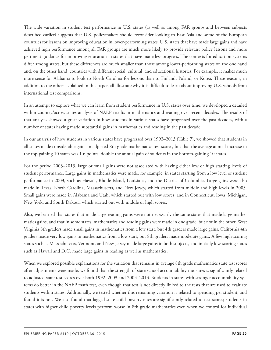The wide variation in student test performance in U.S. states (as well as among FAR groups and between subjects described earlier) suggests that U.S. policymakers should reconsider looking to East Asia and some of the European countries for lessons on improving education in lower-performing states. U.S. states that have made large gains and have achieved high performance among all FAR groups are much more likely to provide relevant policy lessons and more pertinent guidance for improving education in states that have made less progress. The contexts for education systems differ among states, but these differences are much smaller than those among lower-performing states on the one hand and, on the other hand, countries with different social, cultural, and educational histories. For example, it makes much more sense for Alabama to look to North Carolina for lessons than to Finland, Poland, or Korea. These reasons, in addition to the others explained in this paper, all illustrate why it is difficult to learn about improving U.S. schools from international test comparisons.

In an attempt to explore what we can learn from student performance in U.S. states over time, we developed a detailed within-country/across-states analysis of NAEP results in mathematics and reading over recent decades. The results of that analysis showed a great variation in how students in various states have progressed over the past decades, with a number of states having made substantial gains in mathematics and reading in the past decade.

In our analysis of how students in various states have progressed over 1992–2013 (Table 7), we showed that students in all states made considerable gains in adjusted 8th grade mathematics test scores, but that the average annual increase in the top-gaining 10 states was 1.6 points, double the annual gain of students in the bottom-gaining 10 states.

For the period 2003–2013, large or small gains were not associated with having either low or high starting levels of student performance. Large gains in mathematics were made, for example, in states starting from a low level of student performance in 2003, such as Hawaii, Rhode Island, Louisiana, and the District of Columbia. Large gains were also made in Texas, North Carolina, Massachusetts, and New Jersey, which started from middle and high levels in 2003. Small gains were made in Alabama and Utah, which started out with low scores, and in Connecticut, Iowa, Michigan, New York, and South Dakota, which started out with middle or high scores.

Also, we learned that states that made large reading gains were not necessarily the same states that made large mathematics gains, and that in some states, mathematics and reading gains were made in one grade, but not in the other. West Virginia 8th graders made small gains in mathematics from a low start, but 4th graders made large gains. California 4th graders made very low gains in mathematics from a low start, but 8th graders made moderate gains. A few high-scoring states such as Massachusetts, Vermont, and New Jersey made large gains in both subjects, and initially low-scoring states such as Hawaii and D.C. made large gains in reading as well as mathematics.

When we explored possible explanations for the variation that remains in average 8th grade mathematics state test scores after adjustments were made, we found that the strength of state school accountability measures is significantly related to adjusted state test scores over both 1992–2003 and 2003–2013. Students in states with stronger accountability systems do better in the NAEP math test, even though that test is not directly linked to the tests that are used to evaluate students within states. Additionally, we tested whether this remaining variation is related to spending per student, and found it is not. We also found that lagged state child poverty rates are significantly related to test scores; students in states with higher child poverty levels perform worse in 8th grade mathematics even when we control for individual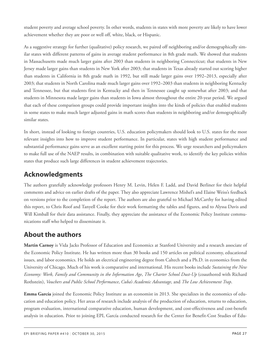student poverty and average school poverty. In other words, students in states with more poverty are likely to have lower achievement whether they are poor or well off, white, black, or Hispanic.

As a suggestive strategy for further (qualitative) policy research, we paired off neighboring and/or demographically similar states with different patterns of gains in average student performance in 8th grade math. We showed that students in Massachusetts made much larger gains after 2003 than students in neighboring Connecticut; that students in New Jersey made larger gains than students in New York after 2003; that students in Texas already started out scoring higher than students in California in 8th grade math in 1992, but still made larger gains over 1992–2013, especially after 2003; that students in North Carolina made much larger gains over 1992–2003 than students in neighboring Kentucky and Tennessee, but that students first in Kentucky and then in Tennessee caught up somewhat after 2003; and that students in Minnesota made larger gains than students in Iowa almost throughout the entire 20-year period. We argued that each of these comparison groups could provide important insights into the kinds of policies that enabled students in some states to make much larger adjusted gains in math scores than students in neighboring and/or demographically similar states.

In short, instead of looking to foreign countries, U.S. education policymakers should look to U.S. states for the most relevant insights into how to improve student performance. In particular, states with high student performance and substantial performance gains serve as an excellent starting point for this process. We urge researchers and policymakers to make full use of the NAEP results, in combination with suitable qualitative work, to identify the key policies within states that produce such large differences in student achievement trajectories.

# <span id="page-26-0"></span>**Acknowledgments**

The authors gratefully acknowledge professors Henry M. Levin, Helen F. Ladd, and David Berliner for their helpful comments and advice on earlier drafts of the paper. They also appreciate Lawrence Mishel's and Elaine Weiss's feedback on versions prior to the completion of the report. The authors are also grateful to Michael McCarthy for having edited this report, to Chris Roof and Tanyell Cooke for their work formatting the tables and figures, and to Alyssa Davis and Will Kimball for their data assistance. Finally, they appreciate the assistance of the Economic Policy Institute communications staff who helped to disseminate it.

# <span id="page-26-1"></span>**About the authors**

**Martin Carnoy** is Vida Jacks Professor of Education and Economics at Stanford University and a research associate of the Economic Policy Institute. He has written more than 30 books and 150 articles on political economy, educational issues, and labor economics. He holds an electrical engineering degree from Caltech and a Ph.D. in economics from the University of Chicago. Much of his work is comparative and international. His recent books include *Sustaining the New Economy: Work, Family and Community in the Information Age*, *The Charter School Dust-Up* (coauthored with Richard Rothstein), *Vouchers and Public School Performance*, *Cuba's Academic Advantage*, and *The Low Achievement Trap*.

**Emma García** joined the Economic Policy Institute as an economist in 2013. She specializes in the economics of education and education policy. Her areas of research include analysis of the production of education, returns to education, program evaluation, international comparative education, human development, and cost-effectiveness and cost-benefit analysis in education. Prior to joining EPI, García conducted research for the Center for Benefit-Cost Studies of Edu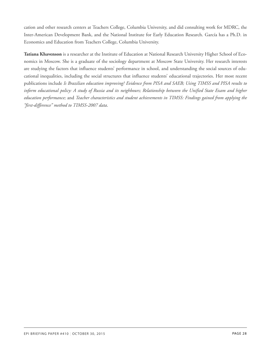cation and other research centers at Teachers College, Columbia University, and did consulting work for MDRC, the Inter-American Development Bank, and the National Institute for Early Education Research. García has a Ph.D. in Economics and Education from Teachers College, Columbia University.

**Tatiana Khavenson** is a researcher at the Institute of Education at National Research University Higher School of Economics in Moscow. She is a graduate of the sociology department at Moscow State University. Her research interests are studying the factors that influence students' performance in school, and understanding the social sources of educational inequalities, including the social structures that influence students' educational trajectories. Her most recent publications include *Is Brazilian education improving? Evidence from PISA and SAEB; Using TIMSS and PISA results to* inform educational policy: A study of Russia and its neighbours; Relationship between the Unified State Exam and higher *education performance;* and *Teacher characteristics and student achievements in TIMSS: Findings gained from applying the "first-difference" method to TIMSS-2007 data*.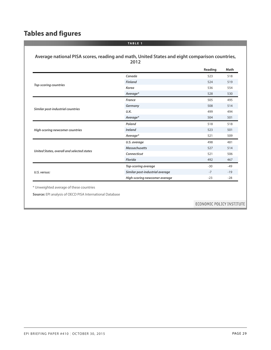# <span id="page-28-0"></span>**Tables and figures**

|                                            |                                 | Reading | Math  |
|--------------------------------------------|---------------------------------|---------|-------|
|                                            | Canada                          | 523     | 518   |
| <b>Top-scoring countries</b>               | <b>Finland</b>                  | 524     | 519   |
|                                            | Korea                           | 536     | 554   |
|                                            | Average*                        | 528     | 530   |
|                                            | France                          | 505     | 495   |
|                                            | Germany                         | 508     | 514   |
| Similar post-industrial countries          | U.K.                            | 499     | 494   |
|                                            | Average*                        | 504     | 501   |
|                                            | Poland                          | 518     | 518   |
| High-scoring newcomer countries            | <b>Ireland</b>                  | 523     | 501   |
|                                            | Average*                        | 521     | 509   |
|                                            | U.S. average                    | 498     | 481   |
|                                            | <b>Massachusetts</b>            | 527     | 514   |
| United States, overall and selected states | Connecticut                     | 521     | 506   |
|                                            | Florida                         | 492     | 467   |
|                                            | <b>Top-scoring average</b>      | $-30$   | $-49$ |
| U.S. versus:                               | Similar post-industrial average | $-7$    | $-19$ |
|                                            | High-scoring newcomer average   | $-23$   | $-28$ |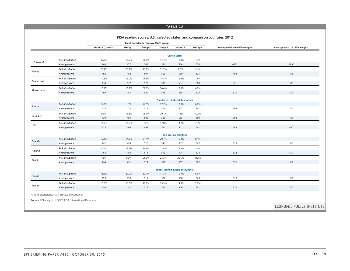#### **TABLE 2A**

| PISA reading scores, U.S., selected states, and comparison countries, 2012 |  |  |  |  |  |
|----------------------------------------------------------------------------|--|--|--|--|--|
|----------------------------------------------------------------------------|--|--|--|--|--|

|                      |                                          |                  | Family academic resource (FAR) group |              |                                        |                                   |             |                              |                               |
|----------------------|------------------------------------------|------------------|--------------------------------------|--------------|----------------------------------------|-----------------------------------|-------------|------------------------------|-------------------------------|
|                      |                                          | Group 1 (Lowest) | Group 2                              | Group 3      | Group 4                                | Group 5                           | Group 6     | Average with own FAR weights | Average with U.S. FAR weights |
|                      |                                          |                  |                                      |              |                                        | <b>United States</b>              |             |                              |                               |
|                      | <b>FAR</b> distribution                  | 22.2%            | 18.0%                                | 30.0%        | 14.4%                                  | 11.0%                             | 4.3%        |                              |                               |
| U.S. overall         | Average score                            | 448              | 477                                  | 508          | 536                                    | 554                               | 530         | 498*                         | 499*                          |
|                      | <b>FAR</b> distribution                  | 25.2%            | 23.1%                                | 27.9%        | 12.7%                                  | 7.5%                              | 3.6%        |                              |                               |
| Florida              | Average score                            | 452              | 482                                  | 507          | 529                                    | 539                               | 535         | 492                          | 498                           |
|                      | <b>FAR distribution</b>                  | 14.1%            | 15.0%                                | 28.5%        | 18.3%                                  | 16.4%                             | 7.8%        |                              |                               |
| Connecticut          | Average score                            | 448              | 472                                  | 522          | 541                                    | 584                               | 588         | 521                          | 509                           |
|                      | <b>FAR distribution</b>                  | 15.9%            | 16.1%                                | 30.0%        | 16.4%                                  | 15.0%                             | 6.7%        |                              |                               |
| <b>Massachusetts</b> | Average score                            | 460              | 485                                  | 529          | 558                                    | 588                               | 576         | 527                          | 519                           |
|                      |                                          |                  |                                      |              |                                        | Similar post-industrial countries |             |                              |                               |
|                      | <b>FAR</b> distribution                  | 17.7%            | 18%                                  | 27.5%        | 17.2%                                  | 12.8%                             | 6.8%        |                              |                               |
| France               | Average score                            | 428              | 470                                  | 511          | 546                                    | 577                               | 581         | 505                          | 501                           |
|                      | <b>FAR distribution</b>                  | 9.6%             | 13.3%                                | 28.3%        | 20.1%                                  | 18%                               | 10.7%       |                              |                               |
| Germany              | Average score                            | 430              | 469                                  | 506          | 530                                    | 565                               | 560         | 508                          | 495                           |
|                      | <b>FAR</b> distribution                  | 14.5%            | 16.5%                                | 29%          | 17.8%                                  | 14.7%                             | 7.3%        |                              |                               |
| U.K.                 | Average score                            | 425              | 465                                  | 498          | 531                                    | 561                               | 561         | 499                          | 490                           |
|                      |                                          |                  |                                      |              |                                        | <b>Top-scoring countries</b>      |             |                              |                               |
|                      | <b>FAR</b> distribution                  | 10.4%            | 14.8%                                | 31.4%        | 20.1%                                  | 15.3%                             | 8.1%        |                              |                               |
| Canada               | Average score                            | 462              | 495                                  | 520          | 546                                    | 565                               | 567         | 523                          | 513                           |
|                      | <b>FAR</b> distribution                  | 8.7%             | 13.9%                                | 34.9%        | 21.4%                                  | 15.8%                             | 5.4%        |                              |                               |
| <b>Finland</b>       | Average score                            | 462              | 486                                  | 518          | 543                                    | 574                               | 573         | 524                          | 512                           |
|                      | <b>FAR distribution</b>                  | 4.6%             | 8.3%                                 | 26.9%        | 23.3%                                  | 25.5%                             | 11.4%       |                              |                               |
| Korea                | Average score                            | 464              | 491                                  | 522          | 537                                    | 557                               | 582         | 536                          | 512                           |
|                      |                                          |                  |                                      |              |                                        |                                   |             |                              |                               |
|                      | <b>FAR</b> distribution                  | 11.2%            | 20.0%                                |              | <b>High-scoring newcomer countries</b> |                                   |             |                              |                               |
| Poland               | Average score                            | 459              | 490                                  | 33.7%<br>519 | 17.3%<br>537                           | 10.9%<br>568                      | 6.9%<br>569 | 518                          | 511                           |
|                      |                                          |                  |                                      |              |                                        |                                   |             |                              |                               |
| Ireland              | <b>FAR distribution</b><br>Average score | 13.6%<br>450     | 16.0%<br>487                         | 29.1%<br>517 | 19.5%<br>555                           | 14.8%<br>576                      | 7.0%<br>581 | 523                          | 512                           |

**Source:** EPI analysis of OECD PISA International Database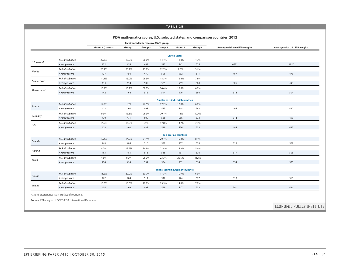#### **TABLE 2B**

|                      |                         |                  |         |                                      |                                        |                                   |         | PISA mathematics scores, U.S., selected states, and comparison countries, 2012 |                               |
|----------------------|-------------------------|------------------|---------|--------------------------------------|----------------------------------------|-----------------------------------|---------|--------------------------------------------------------------------------------|-------------------------------|
|                      |                         |                  |         | Family academic resource (FAR) group |                                        |                                   |         |                                                                                |                               |
|                      |                         | Group 1 (Lowest) | Group 2 | Group 3                              | Group 4                                | Group 5                           | Group 6 | Average with own FAR weights                                                   | Average with U.S. FAR weights |
|                      |                         |                  |         |                                      |                                        | <b>United States</b>              |         |                                                                                |                               |
|                      | <b>FAR distribution</b> | 22.2%            | 18.0%   | 30.0%                                | 14.4%                                  | 11.0%                             | 4.3%    |                                                                                |                               |
| U.S. overall         | Average score           | 432              | 459     | 491                                  | 513                                    | 542                               | 525     | 481*                                                                           | 482*                          |
|                      | <b>FAR distribution</b> | 25.2%            | 23.1%   | 27.9%                                | 12.7%                                  | 7.5%                              | 3.6%    |                                                                                |                               |
| Florida              | Average score           | 427              | 450     | 479                                  | 506                                    | 532                               | 511     | 467                                                                            | 473                           |
|                      | <b>FAR distribution</b> | 14.1%            | 15.0%   | 28.5%                                | 18.3%                                  | 16.4%                             | 7.8%    |                                                                                |                               |
| Connecticut          | Average score           | 434              | 453     | 505                                  | 525                                    | 569                               | 580     | 506                                                                            | 493                           |
|                      | <b>FAR distribution</b> | 15.9%            | 16.1%   | 30.0%                                | 16.4%                                  | 15.0%                             | 6.7%    |                                                                                |                               |
| <b>Massachusetts</b> | Average score           | 442              | 468     | 515                                  | 544                                    | 576                               | 580     | 514                                                                            | 504                           |
|                      |                         |                  |         |                                      |                                        | Similar post-industrial countries |         |                                                                                |                               |
|                      | <b>FAR distribution</b> | 17.7%            | 18%     | 27.5%                                | 17.2%                                  | 12.8%                             | 6.8%    |                                                                                |                               |
| France               | Average score           | 423              | 460     | 498                                  | 533                                    | 568                               | 563     | 495                                                                            | 490                           |
| Germany              | <b>FAR distribution</b> | 9.6%             | 13.3%   | 28.3%                                | 20.1%                                  | 18%                               | 10.7%   |                                                                                |                               |
|                      | Average score           | 430              | 471     | 509                                  | 536                                    | 566                               | 573     | 514                                                                            | 498                           |
| U.K.                 | <b>FAR distribution</b> | 14.5%            | 16.5%   | 29%                                  | 17.8%                                  | 14.7%                             | 7.3%    |                                                                                |                               |
|                      | Average score           | 428              | 462     | 488                                  | 519                                    | 556                               | 558     | 494                                                                            | 485                           |
|                      |                         |                  |         |                                      |                                        | <b>Top-scoring countries</b>      |         |                                                                                |                               |
|                      | <b>FAR distribution</b> | 10.4%            | 14.8%   | 31.4%                                | 20.1%                                  | 15.3%                             | 8.1%    |                                                                                |                               |
| Canada               | Average score           | 463              | 489     | 516                                  | 537                                    | 557                               | 558     | 518                                                                            | 509                           |
|                      | <b>FAR distribution</b> | 8.7%             | 13.9%   | 34.9%                                | 21.4%                                  | 15.8%                             | 5.4%    |                                                                                |                               |
| <b>Finland</b>       | Average score           | 463              | 485     | 513                                  | 535                                    | 561                               | 576     | 519                                                                            | 508                           |
| Korea                | <b>FAR distribution</b> | 4.6%             | 8.3%    | 26.9%                                | 23.3%                                  | 25.5%                             | 11.4%   |                                                                                |                               |
|                      | Average score           | 474              | 493     | 534                                  | 554                                    | 582                               | 614     | 554                                                                            | 525                           |
|                      |                         |                  |         |                                      | <b>High-scoring newcomer countries</b> |                                   |         |                                                                                |                               |
|                      | <b>FAR distribution</b> | 11.2%            | 20.0%   | 33.7%                                | 17.3%                                  | 10.9%                             | 6.9%    |                                                                                |                               |
| Poland               | Average score           | 462              | 483     | 514                                  | 542                                    | 574                               | 577     | 518                                                                            | 510                           |
|                      | <b>FAR distribution</b> | 13.6%            | 16.0%   | 29.1%                                | 19.5%                                  | 14.8%                             | 7.0%    |                                                                                |                               |
| Ireland              | Average score           | 434              | 469     | 498                                  | 529                                    | 547                               | 558     | 501                                                                            | 491                           |

\* Slight discrepancy is an artifact of rounding.

**Source:** EPI analysis of OECD PISA International Database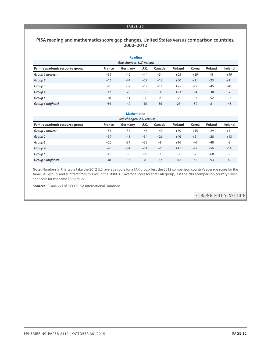#### **TABLE 2C**

#### **PISA reading and mathematics score gap changes, United States versus comparison countries, 2000–2012**

|                                |               | <b>Reading</b>            |       |        |                |              |               |                |
|--------------------------------|---------------|---------------------------|-------|--------|----------------|--------------|---------------|----------------|
|                                |               | Gap changes, U.S. versus: |       |        |                |              |               |                |
| Family academic resource group | <b>France</b> | Germany                   | U.K.  | Canada | <b>Finland</b> | <b>Korea</b> | <b>Poland</b> | <b>Ireland</b> |
| Group 1 (lowest)               | $+31$         | $-40$                     | $+44$ | $+34$  | $+65$          | $+29$        | $-8$          | $+49$          |
| Group 2                        | $+16$         | $-44$                     | $+27$ | $+18$  | $+50$          | $+21$        | $-23$         | $+21$          |
| Group 3                        | $+1$          | $-32$                     | $+19$ | $+11$  | $+25$          | $+5$         | $-45$         | $+0$           |
| Group 4                        | $-12$         | $-20$                     | $+16$ | $+4$   | $+23$          | $+4$         | $-30$         | $-7$           |
| Group 5                        | $-26$         | $-31$                     | $+2$  | $-8$   | $-2$           | $-14$        | $-52$         | $-16$          |
| Group 6 (highest)              | $-64$         | $-42$                     | $-15$ | $-35$  | $-23$          | $-57$        | $-81$         | $-45$          |

|                                |        | <b>Mathematics</b>        |       |        |                |              |               |                |
|--------------------------------|--------|---------------------------|-------|--------|----------------|--------------|---------------|----------------|
|                                |        | Gap changes, U.S. versus: |       |        |                |              |               |                |
| Family academic resource group | France | Germany                   | U.K.  | Canada | <b>Finland</b> | <b>Korea</b> | <b>Poland</b> | <b>Ireland</b> |
| Group 1 (lowest)               | $+51$  | $-34$                     | $+46$ | $+40$  | $+60$          | $+15$        | $-29$         | $+41$          |
| Group <sub>2</sub>             | $+37$  | $-41$                     | $+34$ | $+26$  | $+46$          | $+21$        | $-28$         | $+13$          |
| Group 3                        | $+20$  | $-37$                     | $+32$ | $+8$   | $+16$          | $+6$         | $-48$         | $-3$           |
| Group 4                        | $+7$   | $-34$                     | $+24$ | $+5$   | $+11$          | $+5$         | $-56$         | $-14$          |
| Group 5                        | $-11$  | $-30$                     | $+6$  | $-7$   | $-3$           | $-7$         | $-68$         | -9             |
| Group 6 (highest)              | $-48$  | $-53$                     | $-8$  | $-32$  | $-40$          | $-55$        | $-93$         | $-49$          |

**Note:** Numbers in this table take the 2012 U.S. average score for a FAR group, less the 2012 comparison country's average score for the same FAR group, and subtract from this result the 2000 U.S. average score for that FAR group, less the 2000 comparison country's average score for the same FAR group.

**Source:** EPI analysis of OECD PISA International Database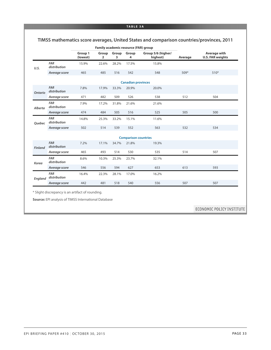#### **TABLE 3A**

|              |                            |                     |            |            | Family academic resource (FAR) group |                                |         |                                         |
|--------------|----------------------------|---------------------|------------|------------|--------------------------------------|--------------------------------|---------|-----------------------------------------|
|              |                            | Group 1<br>(lowest) | Group<br>2 | Group<br>3 | Group<br>4                           | Group 5/6 (higher/<br>highest) | Average | Average with<br><b>U.S. FAR weights</b> |
| U.S.         | <b>FAR</b><br>distribution | 15.9%               | 22.6%      | 28.2%      | 17.5%                                | 15.8%                          |         |                                         |
|              | Average score              | 465                 | 485        | 516        | 542                                  | 548                            | $509*$  | $510*$                                  |
|              |                            |                     |            |            | <b>Canadian provinces</b>            |                                |         |                                         |
| Ontario      | <b>FAR</b><br>distribution | 7.8%                | 17.9%      | 33.3%      | 20.9%                                | 20.0%                          |         |                                         |
|              | Average score              | 471                 | 482        | 509        | 526                                  | 538                            | 512     | 504                                     |
| Alberta      | <b>FAR</b><br>distribution | 7.9%                | 17.2%      | 31.8%      | 21.6%                                | 21.6%                          |         |                                         |
|              | Average score              | 474                 | 484        | 505        | 516                                  | 525                            | 505     | 500                                     |
| Quebec       | <b>FAR</b><br>distribution | 14.8%               | 25.3%      | 33.2%      | 15.1%                                | 11.6%                          |         |                                         |
|              | Average score              | 502                 | 514        | 539        | 552                                  | 563                            | 532     | 534                                     |
|              |                            |                     |            |            | <b>Comparison countries</b>          |                                |         |                                         |
| Finland      | <b>FAR</b><br>distribution | 7.2%                | 17.1%      | 34.7%      | 21.8%                                | 19.3%                          |         |                                         |
|              | Average score              | 465                 | 493        | 514        | 530                                  | 535                            | 514     | 507                                     |
| <b>Korea</b> | <b>FAR</b><br>distribution | 8.6%                | 10.3%      | 25.3%      | 23.7%                                | 32.1%                          |         |                                         |
|              | Average score              | 546                 | 556        | 594        | 627                                  | 653                            | 613     | 593                                     |
| England      | <b>FAR</b><br>distribution | 16.4%               | 22.3%      | 28.1%      | 17.0%                                | 16.2%                          |         |                                         |
|              | Average score              | 442                 | 481        | 518        | 540                                  | 556                            | 507     | 507                                     |

**Source:** EPI analysis of TIMSS International Database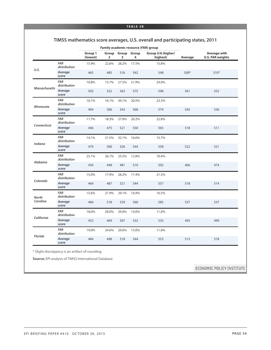#### **TIMSS mathematics score averages, U.S. overall and participating states, 2011**

|                      |                            |                     |            |            | Family academic resource (FAR) group |                                |         |                                         |
|----------------------|----------------------------|---------------------|------------|------------|--------------------------------------|--------------------------------|---------|-----------------------------------------|
|                      |                            | Group 1<br>(lowest) | Group<br>2 | Group<br>3 | Group<br>4                           | Group 5/6 (higher/<br>highest) | Average | Average with<br><b>U.S. FAR weights</b> |
| U.S.                 | <b>FAR</b><br>distribution | 15.9%               | 22.6%      | 28.2%      | 17.5%                                | 15.8%                          |         |                                         |
|                      | Average<br>score           | 465                 | 485        | 516        | 542                                  | 548                            | $509*$  | $510*$                                  |
| <b>Massachusetts</b> | <b>FAR</b><br>distribution | 10.8%               | 15.7%      | 27.5%      | 21.9%                                | 24.0%                          |         |                                         |
|                      | Average<br>score           | 503                 | 522        | 563        | 575                                  | 598                            | 561     | 552                                     |
|                      | <b>FAR</b><br>distribution | 10.1%               | 16.1%      | 30.1%      | 20.5%                                | 23.3%                          |         |                                         |
| <b>Minnesota</b>     | Average<br>score           | 494                 | 506        | 543        | 568                                  | 574                            | 545     | 536                                     |
|                      | <b>FAR</b><br>distribution | 11.7%               | 18.3%      | 27.0%      | 20.2%                                | 22.8%                          |         |                                         |
| Connecticut          | Average<br>score           | 446                 | 475        | 521        | 550                                  | 565                            | 518     | 511                                     |
| <b>Indiana</b>       | <b>FAR</b><br>distribution | 14.1%               | 21.5%      | 32.1%      | 16.6%                                | 15.7%                          |         |                                         |
|                      | Average<br>score           | 479                 | 500        | 526        | 544                                  | 558                            | 522     | 521                                     |
| Alabama              | <b>FAR</b><br>distribution | 25.1%               | 26.1%      | 25.5%      | 12.8%                                | 10.4%                          |         |                                         |
|                      | Average<br>score           | 434                 | 448        | 481        | 510                                  | 502                            | 466     | 474                                     |
| Colorado             | <b>FAR</b><br>distribution | 15.0%               | 17.9%      | 28.2%      | 17.4%                                | 21.5%                          |         |                                         |
|                      | Average<br>score           | 464                 | 487        | 521        | 544                                  | 557                            | 518     | 514                                     |
| <b>North</b>         | <b>FAR</b><br>distribution | 15.6%               | 21.9%      | 29.1%      | 16.9%                                | 16.5%                          |         |                                         |
| Carolina             | Average<br>score           | 484                 | 518        | 539        | 560                                  | 585                            | 537     | 537                                     |
|                      | <b>FAR</b><br>distribution | 18.0%               | 28.0%      | 29.0%      | 14.0%                                | 11.0%                          |         |                                         |
| California           | Average<br>score           | 452                 | 469        | 507        | 532                                  | 535                            | 493     | 499                                     |
|                      | <b>FAR</b><br>distribution | 19.0%               | 24.6%      | 29.6%      | 15.0%                                | 11.8%                          |         |                                         |
| Florida              | Average<br>score           | 484                 | 498        | 518        | 544                                  | 553                            | 513     | 518                                     |

\* Slight discrepancy is an artifact of rounding.

**Source:** EPI analysis of TIMSS International Database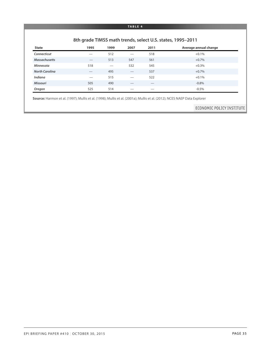#### **TABLE 4**

#### **8th grade TIMSS math trends, select U.S. states, 1995–2011**

| <b>State</b>          | 1995 | 1999 | 2007 | 2011 | Average annual change |
|-----------------------|------|------|------|------|-----------------------|
| Connecticut           |      | 512  |      | 518  | $+0.1%$               |
| <b>Massachusetts</b>  |      | 513  | 547  | 561  | $+0.7%$               |
| <b>Minnesota</b>      | 518  |      | 532  | 545  | $+0.3%$               |
| <b>North Carolina</b> |      | 495  |      | 537  | $+0.7%$               |
| Indiana               | _    | 515  | --   | 522  | $+0.1%$               |
| <b>Missouri</b>       | 505  | 490  | __   |      | $-0.8%$               |
| Oregon                | 525  | 514  |      |      | $-0.5\%$              |

**Source:** Harmon et al. (1997); Mullis et al. (1998); Mullis et al. (2001a); Mullis et al. (2012); NCES NAEP Data Explorer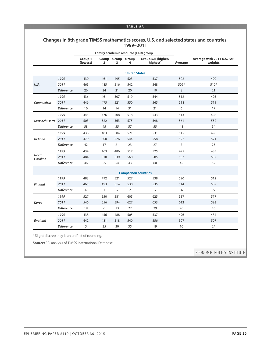#### **TABLE 5A**

#### **Changes in 8th grade TIMSS mathematics scores, U.S. and selected states and countries, 1999–2011**

|                          |                   |                     |                |                        |                      | Family academic resource (FAR) group |                |                                       |
|--------------------------|-------------------|---------------------|----------------|------------------------|----------------------|--------------------------------------|----------------|---------------------------------------|
|                          |                   | Group 1<br>(lowest) | $\overline{2}$ | Group Group Group<br>3 | 4                    | Group 5/6 (higher/<br>highest)       | Average        | Average with 2011 U.S. FAR<br>weights |
|                          |                   |                     |                |                        | <b>United States</b> |                                      |                |                                       |
|                          | 1999              | 439                 | 461            | 495                    | 523                  | 537                                  | 502            | 490                                   |
| U.S.                     | 2011              | 465                 | 485            | 516                    | 542                  | 548                                  | $509*$         | $510*$                                |
|                          | <b>Difference</b> | 26                  | 24             | 21                     | 20                   | 10                                   | 8              | 21                                    |
|                          | 1999              | 436                 | 461            | 507                    | 519                  | 544                                  | 512            | 493                                   |
| Connecticut              | 2011              | 446                 | 475            | 521                    | 550                  | 565                                  | 518            | 511                                   |
|                          | <b>Difference</b> | 10                  | 14             | 14                     | 31                   | 21                                   | 6              | 17                                    |
|                          | 1999              | 445                 | 476            | 508                    | 518                  | 543                                  | 513            | 498                                   |
| <b>Massachusetts</b>     | 2011              | 503                 | 522            | 563                    | 575                  | 598                                  | 561            | 552                                   |
|                          | <b>Difference</b> | 58                  | 45             | 55                     | 57                   | 55                                   | 48             | 54                                    |
|                          | 1999              | 438                 | 483            | 504                    | 521                  | 531                                  | 515            | 496                                   |
| <b>Indiana</b>           | 2011              | 479                 | 500            | 526                    | 544                  | 558                                  | 522            | 521                                   |
|                          | <b>Difference</b> | 42                  | 17             | 21                     | 23                   | 27                                   | $\overline{7}$ | 25                                    |
|                          | 1999              | 439                 | 463            | 486                    | 517                  | 525                                  | 495            | 485                                   |
| <b>North</b><br>Carolina | 2011              | 484                 | 518            | 539                    | 560                  | 585                                  | 537            | 537                                   |
|                          | <b>Difference</b> | 46                  | 55             | 54                     | 43                   | 60                                   | 42             | 52                                    |
|                          |                   |                     |                |                        |                      | <b>Comparison countries</b>          |                |                                       |
|                          | 1999              | 483                 | 492            | 521                    | 527                  | 538                                  | 520            | 512                                   |
| <b>Finland</b>           | 2011              | 465                 | 493            | 514                    | 530                  | 535                                  | 514            | 507                                   |
|                          | <b>Difference</b> | $-18$               | $\mathbf{1}$   | $-7$                   | $\overline{2}$       | $-2$                                 | $-6$           | $-5$                                  |
|                          | 1999              | 527                 | 550            | 581                    | 605                  | 625                                  | 587            | 577                                   |
| <b>Korea</b>             | 2011              | 546                 | 556            | 594                    | 627                  | 653                                  | 613            | 593                                   |
|                          | <b>Difference</b> | 19                  | 6              | 13                     | 22                   | 29                                   | 26             | 16                                    |
|                          | 1999              | 438                 | 456            | 488                    | 505                  | 537                                  | 496            | 484                                   |
| England                  | 2011              | 442                 | 481            | 518                    | 540                  | 556                                  | 507            | 507                                   |
|                          | <b>Difference</b> | 5                   | 25             | 30                     | 35                   | 19                                   | 10             | 24                                    |

\* Slight discrepancy is an artifact of rounding.

**Source:** EPI analysis of TIMSS International Database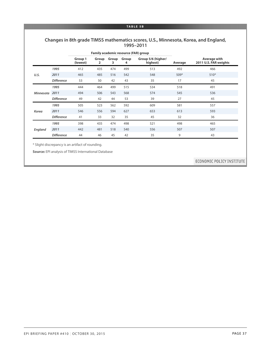#### **TABLE 5B**

#### **Changes in 8th grade TIMSS mathematics scores, U.S., Minnesota, Korea, and England, 1995–2011**

|                  |                   |                     | <b>Family academic resource (FAR) group</b> |            |            |                                |         |                                       |
|------------------|-------------------|---------------------|---------------------------------------------|------------|------------|--------------------------------|---------|---------------------------------------|
|                  |                   | Group 1<br>(lowest) | Group<br>2                                  | Group<br>3 | Group<br>4 | Group 5/6 (higher/<br>highest) | Average | Average with<br>2011 U.S. FAR weights |
|                  | 1995              | 412                 | 435                                         | 474        | 499        | 513                            | 492     | 466                                   |
| U.S.             | 2011              | 465                 | 485                                         | 516        | 542        | 548                            | $509*$  | $510*$                                |
|                  | <b>Difference</b> | 53                  | 50                                          | 42         | 43         | 35                             | 17      | 45                                    |
| <b>Minnesota</b> | 1995              | 444                 | 464                                         | 499        | 515        | 534                            | 518     | 491                                   |
|                  | 2011              | 494                 | 506                                         | 543        | 568        | 574                            | 545     | 536                                   |
|                  | <b>Difference</b> | 49                  | 42                                          | 44         | 53         | 39                             | 27      | 45                                    |
|                  | 1995              | 505                 | 523                                         | 562        | 592        | 609                            | 581     | 557                                   |
| <b>Korea</b>     | 2011              | 546                 | 556                                         | 594        | 627        | 653                            | 613     | 593                                   |
|                  | <b>Difference</b> | 41                  | 33                                          | 32         | 35         | 45                             | 32      | 36                                    |
|                  | 1995              | 398                 | 435                                         | 474        | 498        | 521                            | 498     | 465                                   |
| England          | 2011              | 442                 | 481                                         | 518        | 540        | 556                            | 507     | 507                                   |
|                  | <b>Difference</b> | 44                  | 46                                          | 45         | 42         | 35                             | 9       | 43                                    |

\* Slight discrepancy is an artifact of rounding.

**Source:** EPI analysis of TIMSS International Database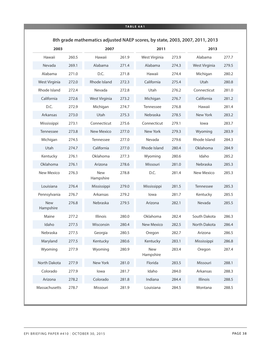#### **TABLE 6A1**

|                         |       |                         |       |                         | 8th grade mathematics adjusted NAEP scores, by state, 2003, 2007, 2011, 2013 |               |       |  |
|-------------------------|-------|-------------------------|-------|-------------------------|------------------------------------------------------------------------------|---------------|-------|--|
| 2003                    |       | 2007                    |       | 2011                    |                                                                              | 2013          |       |  |
| Hawaii                  | 260.5 | Hawaii                  | 261.9 | West Virginia           | 273.9                                                                        | Alabama       | 277.7 |  |
| Nevada                  | 269.1 | Alabama                 | 271.4 | Alabama                 | 274.3                                                                        | West Virginia | 279.5 |  |
| Alabama                 | 271.0 | D.C.                    | 271.8 | Hawaii                  | 274.4                                                                        | Michigan      | 280.2 |  |
| West Virginia           | 272.0 | Rhode Island            | 272.3 | California              | 275.4                                                                        | Utah          | 280.8 |  |
| Rhode Island            | 272.4 | Nevada                  | 272.8 | Utah                    | 276.2                                                                        | Connecticut   | 281.0 |  |
| California              | 272.6 | West Virginia           | 273.2 | Michigan                | 276.7                                                                        | California    | 281.2 |  |
| D.C.                    | 272.9 | Michigan                | 274.7 | Tennessee               | 276.8                                                                        | Hawaii        | 281.4 |  |
| Arkansas                | 273.0 | Utah                    | 275.3 | Nebraska                | 278.5                                                                        | New York      | 283.2 |  |
| Mississippi             | 273.1 | Connecticut             | 275.6 | Connecticut             | 279.1                                                                        | lowa          | 283.7 |  |
| Tennessee               | 273.8 | <b>New Mexico</b>       | 277.0 | New York                | 279.3                                                                        | Wyoming       | 283.9 |  |
| Michigan                | 274.5 | Tennessee               | 277.0 | Nevada                  | 279.6                                                                        | Rhode Island  | 284.3 |  |
| Utah                    | 274.7 | California              | 277.0 | Rhode Island            | 280.4                                                                        | Oklahoma      | 284.9 |  |
| Kentucky                | 276.1 | Oklahoma                | 277.3 | Wyoming                 | 280.6                                                                        | Idaho         | 285.2 |  |
| Oklahoma                | 276.1 | Arizona                 | 278.6 | Missouri                | 281.0                                                                        | Nebraska      | 285.3 |  |
| <b>New Mexico</b>       | 276.3 | <b>New</b><br>Hampshire | 278.8 | D.C.                    | 281.4                                                                        | New Mexico    | 285.3 |  |
| Louisiana               | 276.4 | Mississippi             | 279.0 | Mississippi             | 281.5                                                                        | Tennessee     | 285.3 |  |
| Pennsylvania            | 276.7 | Arkansas                | 279.2 | lowa                    | 281.7                                                                        | Kentucky      | 285.5 |  |
| <b>New</b><br>Hampshire | 276.8 | Nebraska                | 279.5 | Arizona                 | 282.1                                                                        | Nevada        | 285.5 |  |
| Maine                   | 277.2 | Illinois                | 280.0 | Oklahoma                | 282.4                                                                        | South Dakota  | 286.3 |  |
| Idaho                   | 277.5 | Wisconsin               | 280.4 | <b>New Mexico</b>       | 282.5                                                                        | North Dakota  | 286.4 |  |
| Nebraska                | 277.5 | Georgia                 | 280.5 | Oregon                  | 282.7                                                                        | Arizona       | 286.5 |  |
| Maryland                | 277.5 | Kentucky                | 280.6 | Kentucky                | 283.1                                                                        | Mississippi   | 286.8 |  |
| Wyoming                 | 277.9 | Wyoming                 | 280.9 | <b>New</b><br>Hampshire | 283.4                                                                        | Oregon        | 287.4 |  |
| North Dakota            | 277.9 | New York                | 281.0 | Florida                 | 283.5                                                                        | Missouri      | 288.1 |  |
| Colorado                | 277.9 | lowa                    | 281.7 | Idaho                   | 284.0                                                                        | Arkansas      | 288.3 |  |
| Arizona                 | 278.2 | Colorado                | 281.8 | Indiana                 | 284.4                                                                        | Illinois      | 288.5 |  |
| Massachusetts           | 278.7 | Missouri                | 281.9 | Louisiana               | 284.5                                                                        | Montana       | 288.5 |  |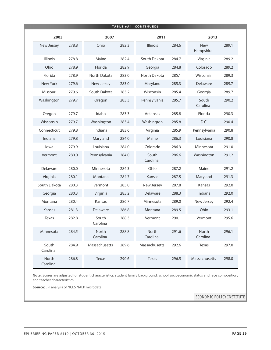|                   |       |                   |       | <b>TABLE 6A1 (CONTINUED)</b> |       |                         |       |
|-------------------|-------|-------------------|-------|------------------------------|-------|-------------------------|-------|
| 2003              |       | 2007              |       | 2011                         |       | 2013                    |       |
| New Jersey        | 278.8 | Ohio              | 282.3 | Illinois                     | 284.6 | <b>New</b><br>Hampshire | 289.1 |
| Illinois          | 278.8 | Maine             | 282.4 | South Dakota                 | 284.7 | Virginia                | 289.2 |
| Ohio              | 278.9 | Florida           | 282.9 | Georgia                      | 284.8 | Colorado                | 289.2 |
| Florida           | 278.9 | North Dakota      | 283.0 | North Dakota                 | 285.1 | Wisconsin               | 289.3 |
| New York          | 279.6 | New Jersey        | 283.0 | Maryland                     | 285.3 | Delaware                | 289.7 |
| Missouri          | 279.6 | South Dakota      | 283.2 | Wisconsin                    | 285.4 | Georgia                 | 289.7 |
| Washington        | 279.7 | Oregon            | 283.3 | Pennsylvania                 | 285.7 | South<br>Carolina       | 290.2 |
| Oregon            | 279.7 | Idaho             | 283.3 | Arkansas                     | 285.8 | Florida                 | 290.3 |
| Wisconsin         | 279.7 | Washington        | 283.4 | Washington                   | 285.8 | D.C.                    | 290.4 |
| Connecticut       | 279.8 | Indiana           | 283.6 | Virginia                     | 285.9 | Pennsylvania            | 290.8 |
| Indiana           | 279.8 | Maryland          | 284.0 | Maine                        | 286.3 | Louisiana               | 290.8 |
| lowa              | 279.9 | Louisiana         | 284.0 | Colorado                     | 286.3 | Minnesota               | 291.0 |
| Vermont           | 280.0 | Pennsylvania      | 284.0 | South<br>Carolina            | 286.6 | Washington              | 291.2 |
| Delaware          | 280.0 | Minnesota         | 284.3 | Ohio                         | 287.2 | Maine                   | 291.2 |
| Virginia          | 280.1 | Montana           | 284.7 | Kansas                       | 287.5 | Maryland                | 291.3 |
| South Dakota      | 280.3 | Vermont           | 285.0 | New Jersey                   | 287.8 | Kansas                  | 292.0 |
| Georgia           | 280.3 | Virginia          | 285.2 | Delaware                     | 288.3 | Indiana                 | 292.0 |
| Montana           | 280.4 | Kansas            | 286.7 | Minnesota                    | 289.0 | New Jersey              | 292.4 |
| Kansas            | 281.3 | Delaware          | 286.8 | Montana                      | 289.5 | Ohio                    | 293.1 |
| Texas             | 282.8 | South<br>Carolina | 288.3 | Vermont                      | 290.1 | Vermont                 | 295.6 |
| Minnesota         | 284.5 | North<br>Carolina | 288.8 | North<br>Carolina            | 291.6 | North<br>Carolina       | 296.1 |
| South<br>Carolina | 284.9 | Massachusetts     | 289.6 | Massachusetts                | 292.6 | Texas                   | 297.0 |
| North<br>Carolina | 286.8 | Texas             | 290.6 | Texas                        | 296.5 | Massachusetts           | 298.0 |

**Note:** Scores are adjusted for student characteristics, student family background, school socioeconomic status and race composition, and teacher characteristics.

**Source:** EPI analysis of NCES NAEP microdata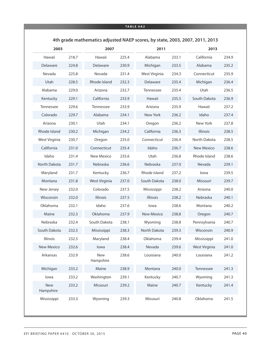#### **TABLE 6A2**

|                         |       |                         |       |                   | 4th grade mathematics adjusted NAEP scores, by state, 2003, 2007, 2011, 2013 |                 |       |  |  |
|-------------------------|-------|-------------------------|-------|-------------------|------------------------------------------------------------------------------|-----------------|-------|--|--|
| 2003                    |       | 2007                    |       | 2011              |                                                                              | 2013            |       |  |  |
| Hawaii                  | 218.7 | Hawaii                  | 225.4 | Alabama           | 233.1                                                                        | California      | 234.9 |  |  |
| Delaware                | 224.8 | Delaware                | 230.9 | Michigan          | 233.5                                                                        | Alabama         | 235.2 |  |  |
| Nevada                  | 225.8 | Nevada                  | 231.4 | West Virginia     | 234.3                                                                        | Connecticut     | 235.9 |  |  |
| Utah                    | 228.5 | Rhode Island            | 232.3 | Delaware          | 235.4                                                                        | Michigan        | 236.4 |  |  |
| Alabama                 | 229.0 | Arizona                 | 232.7 | Tennessee         | 235.4                                                                        | Utah            | 236.5 |  |  |
| Kentucky                | 229.1 | California              | 233.9 | Hawaii            | 235.5                                                                        | South Dakota    | 236.9 |  |  |
| Tennessee               | 229.6 | Tennessee               | 233.9 | Arizona           | 235.9                                                                        | Hawaii          | 237.2 |  |  |
| Colorado                | 229.7 | Alabama                 | 234.1 | New York          | 236.2                                                                        | Idaho           | 237.4 |  |  |
| Arizona                 | 230.1 | Utah                    | 234.1 | Oregon            | 236.2                                                                        | New York        | 237.8 |  |  |
| Rhode Island            | 230.2 | Michigan                | 234.2 | California        | 236.3                                                                        | <b>Illinois</b> | 238.5 |  |  |
| West Virginia           | 230.7 | Oregon                  | 235.0 | Connecticut       | 236.4                                                                        | North Dakota    | 238.5 |  |  |
| California              | 231.0 | Connecticut             | 235.4 | Idaho             | 236.7                                                                        | New Mexico      | 238.6 |  |  |
| Idaho                   | 231.4 | <b>New Mexico</b>       | 235.6 | Utah              | 236.8                                                                        | Rhode Island    | 238.6 |  |  |
| North Dakota            | 231.7 | Nebraska                | 236.6 | Nebraska          | 237.0                                                                        | Nevada          | 239.1 |  |  |
| Maryland                | 231.7 | Kentucky                | 236.7 | Rhode Island      | 237.2                                                                        | lowa            | 239.5 |  |  |
| Montana                 | 231.8 | West Virginia           | 237.0 | South Dakota      | 238.0                                                                        | Missouri        | 239.7 |  |  |
| New Jersey              | 232.0 | Colorado                | 237.5 | Mississippi       | 238.2                                                                        | Arizona         | 240.0 |  |  |
| Wisconsin               | 232.0 | <b>Illinois</b>         | 237.5 | <b>Illinois</b>   | 238.2                                                                        | Nebraska        | 240.1 |  |  |
| Oklahoma                | 232.1 | Idaho                   | 237.6 | lowa              | 238.6                                                                        | Montana         | 240.2 |  |  |
| Maine                   | 232.3 | Oklahoma                | 237.9 | <b>New Mexico</b> | 238.8                                                                        | Oregon          | 240.7 |  |  |
| Nebraska                | 232.4 | South Dakota            | 238.1 | Wyoming           | 238.8                                                                        | Pennsylvania    | 240.7 |  |  |
| South Dakota            | 232.5 | Mississippi             | 238.3 | North Dakota      | 239.3                                                                        | Wisconsin       | 240.9 |  |  |
| Illinois                | 232.5 | Maryland                | 238.4 | Oklahoma          | 239.4                                                                        | Mississippi     | 241.0 |  |  |
| New Mexico              | 232.6 | lowa                    | 238.4 | Nevada            | 239.6                                                                        | West Virginia   | 241.0 |  |  |
| Arkansas                | 232.9 | <b>New</b><br>Hampshire | 238.6 | Louisiana         | 240.0                                                                        | Louisiana       | 241.2 |  |  |
| Michigan                | 233.2 | Maine                   | 238.9 | Montana           | 240.0                                                                        | Tennessee       | 241.3 |  |  |
| lowa                    | 233.2 | Washington              | 239.1 | Kentucky          | 240.7                                                                        | Wyoming         | 241.3 |  |  |
| <b>New</b><br>Hampshire | 233.2 | Missouri                | 239.2 | Maine             | 240.7                                                                        | Kentucky        | 241.4 |  |  |
| Mississippi             | 233.3 | Wyoming                 | 239.3 | Missouri          | 240.8                                                                        | Oklahoma        | 241.5 |  |  |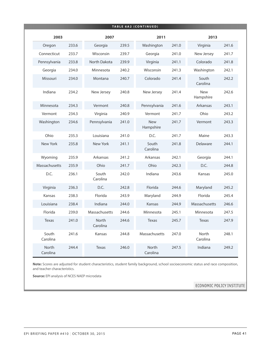|                   |       |                   |       | <b>TABLE 6A2 (CONTINUED)</b> |       |                   |       |
|-------------------|-------|-------------------|-------|------------------------------|-------|-------------------|-------|
| 2003              |       | 2007              |       | 2011                         |       | 2013              |       |
| Oregon            | 233.6 | Georgia           | 239.5 | Washington                   | 241.0 | Virginia          | 241.6 |
| Connecticut       | 233.7 | Wisconsin         | 239.7 | Georgia                      | 241.0 | New Jersey        | 241.7 |
| Pennsylvania      | 233.8 | North Dakota      | 239.9 | Virginia                     | 241.1 | Colorado          | 241.8 |
| Georgia           | 234.0 | Minnesota         | 240.2 | Wisconsin                    | 241.3 | Washington        | 242.1 |
| Missouri          | 234.0 | Montana           | 240.7 | Colorado                     | 241.4 | South<br>Carolina | 242.2 |
| Indiana           | 234.2 | New Jersey        | 240.8 | New Jersey                   | 241.4 | New<br>Hampshire  | 242.6 |
| Minnesota         | 234.3 | Vermont           | 240.8 | Pennsylvania                 | 241.6 | Arkansas          | 243.1 |
| Vermont           | 234.3 | Virginia          | 240.9 | Vermont                      | 241.7 | Ohio              | 243.2 |
| Washington        | 234.6 | Pennsylvania      | 241.0 | <b>New</b><br>Hampshire      | 241.7 | Vermont           | 243.3 |
| Ohio              | 235.3 | Louisiana         | 241.0 | D.C.                         | 241.7 | Maine             | 243.3 |
| New York          | 235.8 | New York          | 241.1 | South<br>Carolina            | 241.8 | Delaware          | 244.1 |
| Wyoming           | 235.9 | Arkansas          | 241.2 | Arkansas                     | 242.1 | Georgia           | 244.1 |
| Massachusetts     | 235.9 | Ohio              | 241.7 | Ohio                         | 242.3 | D.C.              | 244.8 |
| D.C.              | 236.1 | South<br>Carolina | 242.0 | Indiana                      | 243.6 | Kansas            | 245.0 |
| Virginia          | 236.3 | D.C.              | 242.8 | Florida                      | 244.6 | Maryland          | 245.2 |
| Kansas            | 238.3 | Florida           | 243.9 | Maryland                     | 244.9 | Florida           | 245.4 |
| Louisiana         | 238.4 | Indiana           | 244.0 | Kansas                       | 244.9 | Massachusetts     | 246.6 |
| Florida           | 239.0 | Massachusetts     | 244.6 | Minnesota                    | 245.1 | Minnesota         | 247.5 |
| Texas             | 241.0 | North<br>Carolina | 244.6 | Texas                        | 245.7 | Texas             | 247.9 |
| South<br>Carolina | 241.6 | Kansas            | 244.8 | Massachusetts                | 247.0 | North<br>Carolina | 248.1 |
| North<br>Carolina | 244.4 | 246.0<br>Texas    |       | North<br>Carolina            | 247.5 | Indiana           | 249.2 |

**Note:** Scores are adjusted for student characteristics, student family background, school socioeconomic status and race composition, and teacher characteristics.

**Source:** EPI analysis of NCES NAEP microdata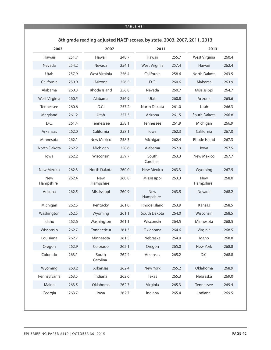#### **TABLE 6B1**

|                         |       |                         |       |                         |       | 8th grade reading adjusted NAEP scores, by state, 2003, 2007, 2011, 2013 |       |  |  |
|-------------------------|-------|-------------------------|-------|-------------------------|-------|--------------------------------------------------------------------------|-------|--|--|
| 2003                    |       | 2007                    |       | 2011                    |       | 2013                                                                     |       |  |  |
| Hawaii                  | 251.7 | Hawaii                  | 248.7 | Hawaii                  | 255.7 | West Virginia                                                            | 260.4 |  |  |
| Nevada                  | 254.2 | Nevada                  | 254.1 | West Virginia           | 257.4 | Hawaii                                                                   | 262.4 |  |  |
| Utah                    | 257.9 | West Virginia           | 256.4 | California              | 258.6 | North Dakota                                                             | 263.5 |  |  |
| California              | 259.9 | Arizona                 | 256.5 | D.C.                    | 260.6 | Alabama                                                                  | 263.9 |  |  |
| Alabama                 | 260.3 | Rhode Island            | 256.8 | Nevada                  | 260.7 | Mississippi                                                              | 264.7 |  |  |
| West Virginia           | 260.5 | Alabama                 | 256.9 | Utah                    | 260.8 | Arizona                                                                  | 265.6 |  |  |
| Tennessee               | 260.6 | D.C.                    | 257.2 | North Dakota            | 261.0 | Utah                                                                     | 266.3 |  |  |
| Maryland                | 261.2 | Utah                    | 257.3 | Arizona                 | 261.5 | South Dakota                                                             | 266.8 |  |  |
| D.C.                    | 261.4 | Tennessee               | 258.1 | Tennessee               | 261.9 | Michigan                                                                 | 266.9 |  |  |
| Arkansas                | 262.0 | California              | 258.1 | lowa                    | 262.3 | California                                                               | 267.0 |  |  |
| Minnesota               | 262.1 | New Mexico              | 258.3 | Michigan                | 262.4 | Rhode Island                                                             | 267.3 |  |  |
| North Dakota            | 262.2 | Michigan                | 258.6 | Alabama                 | 262.9 | lowa                                                                     | 267.5 |  |  |
| lowa                    | 262.2 | Wisconsin               | 259.7 | South<br>Carolina       | 263.3 | New Mexico                                                               | 267.7 |  |  |
| New Mexico              | 262.3 | North Dakota            | 260.0 | <b>New Mexico</b>       | 263.3 | Wyoming                                                                  | 267.9 |  |  |
| <b>New</b><br>Hampshire | 262.4 | <b>New</b><br>Hampshire | 260.8 | Mississippi             | 263.3 | <b>New</b><br>Hampshire                                                  | 268.0 |  |  |
| Arizona                 | 262.5 | Mississippi             | 260.9 | <b>New</b><br>Hampshire | 263.5 | Nevada                                                                   | 268.2 |  |  |
| Michigan                | 262.5 | Kentucky                | 261.0 | Rhode Island            | 263.9 | Kansas                                                                   | 268.5 |  |  |
| Washington              | 262.5 | Wyoming                 | 261.1 | South Dakota            | 264.0 | Wisconsin                                                                | 268.5 |  |  |
| Idaho                   | 262.6 | Washington              | 261.1 | Wisconsin               | 264.5 | Minnesota                                                                | 268.5 |  |  |
| Wisconsin               | 262.7 | Connecticut             | 261.3 | Oklahoma                | 264.6 | Virginia                                                                 | 268.5 |  |  |
| Louisiana               | 262.7 | Minnesota               | 261.5 | Nebraska                | 264.9 | Idaho                                                                    | 268.8 |  |  |
| Oregon                  | 262.9 | Colorado                | 262.1 | Oregon                  | 265.0 | New York                                                                 | 268.8 |  |  |
| Colorado                | 263.1 | South<br>Carolina       | 262.4 | Arkansas                | 265.2 | D.C.                                                                     | 268.8 |  |  |
| Wyoming                 | 263.2 | Arkansas                | 262.4 | New York                | 265.2 | Oklahoma                                                                 | 268.9 |  |  |
| Pennsylvania            | 263.5 | Indiana                 | 262.6 | <b>Texas</b>            | 265.3 | Nebraska                                                                 | 269.0 |  |  |
| Maine                   | 263.5 | Oklahoma                | 262.7 | Virginia                | 265.3 | Tennessee                                                                | 269.4 |  |  |
| Georgia                 | 263.7 | lowa                    | 262.7 | Indiana                 | 265.4 | Indiana                                                                  | 269.5 |  |  |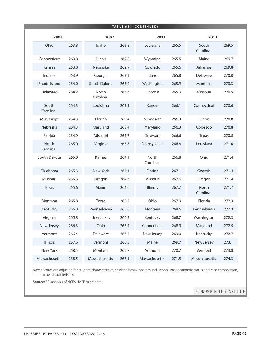|                          |       |                   |       | <b>TABLE 6B1 (CONTINUED)</b> |       |                          |       |
|--------------------------|-------|-------------------|-------|------------------------------|-------|--------------------------|-------|
| 2003                     |       | 2007              |       | 2011                         |       | 2013                     |       |
| Ohio                     | 263.8 | Idaho             | 262.8 | Louisiana                    | 265.5 | South<br>Carolina        | 269.5 |
| Connecticut              | 263.8 | Illinois          | 262.8 | Wyoming                      | 265.5 | Maine                    | 269.7 |
| Kansas                   | 263.8 | Nebraska          | 262.9 | Colorado                     | 265.6 | Arkansas                 | 269.8 |
| Indiana                  | 263.9 | Georgia           | 263.1 | Idaho                        | 265.8 | Delaware                 | 270.0 |
| Rhode Island             | 264.0 | South Dakota      | 263.2 | Washington                   | 265.9 | Montana                  | 270.3 |
| Delaware                 | 264.2 | North<br>Carolina | 263.3 | Georgia                      | 265.9 | Missouri                 | 270.5 |
| South<br>Carolina        | 264.3 | Louisiana         | 263.3 | Kansas                       | 266.1 | Connecticut              | 270.6 |
| Mississippi              | 264.3 | Florida           | 263.4 | Minnesota                    | 266.3 | Illinois                 | 270.8 |
| Nebraska                 | 264.3 | Maryland          | 263.4 | Maryland                     | 266.3 | Colorado                 | 270.8 |
| Florida                  | 264.9 | Missouri          | 263.6 | Delaware                     | 266.6 | Texas                    | 270.8 |
| <b>North</b><br>Carolina | 265.0 | Virginia          | 263.8 | Pennsylvania                 | 266.8 | Louisiana                | 271.0 |
| South Dakota             | 265.0 | Kansas            | 264.1 | North<br>Carolina            | 266.8 | Ohio                     | 271.4 |
| Oklahoma                 | 265.3 | New York          | 264.1 | Florida                      | 267.1 | Georgia                  | 271.4 |
| Missouri                 | 265.3 | Oregon            | 264.3 | Missouri                     | 267.6 | Oregon                   | 271.4 |
| Texas                    | 265.6 | Maine             | 264.6 | Illinois                     | 267.7 | <b>North</b><br>Carolina | 271.7 |
| Montana                  | 265.8 | Texas             | 265.2 | Ohio                         | 267.9 | Florida                  | 272.3 |
| Kentucky                 | 265.8 | Pennsylvania      | 265.6 | Montana                      | 268.6 | Pennsylvania             | 272.3 |
| Virginia                 | 265.8 | New Jersey        | 266.2 | Kentucky                     | 268.7 | Washington               | 272.3 |
| New Jersey               | 266.3 | Ohio              | 266.4 | Connecticut                  | 268.9 | Maryland                 | 272.5 |
| Vermont                  | 266.4 | Delaware          | 266.5 | New Jersey                   | 269.0 | Kentucky                 | 272.7 |
| Illinois                 | 267.6 | Vermont           | 266.5 | Maine                        | 269.7 | New Jersey               | 273.1 |
| New York                 | 268.5 | Montana           | 266.7 | Vermont                      | 270.7 | Vermont                  | 273.8 |
| Massachusetts            | 268.5 | Massachusetts     | 267.5 | Massachusetts                | 271.5 | Massachusetts            | 274.3 |

**Note:** Scores are adjusted for student characteristics, student family background, school socioeconomic status and race composition, and teacher characteristics.

**Source:** EPI analysis of NCES NAEP microdata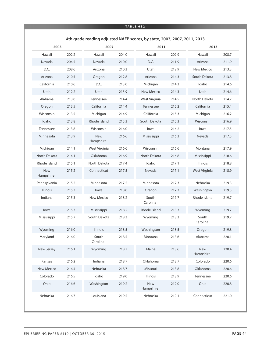#### **TABLE 6B2**

|                         |       |                         |       |                         |       | 4th grade reading adjusted NAEP scores, by state, 2003, 2007, 2011, 2013 |       |  |  |  |
|-------------------------|-------|-------------------------|-------|-------------------------|-------|--------------------------------------------------------------------------|-------|--|--|--|
| 2003                    |       | 2007                    |       | 2011                    |       | 2013                                                                     |       |  |  |  |
| Hawaii                  | 202.2 | Hawaii                  | 204.0 | Hawaii                  | 209.9 | Hawaii                                                                   | 208.7 |  |  |  |
| Nevada                  | 204.5 | Nevada                  | 210.0 | D.C.                    | 211.9 | Arizona                                                                  | 211.9 |  |  |  |
| D.C.                    | 208.6 | Arizona                 | 210.3 | Utah                    | 212.9 | New Mexico                                                               | 213.3 |  |  |  |
| Arizona                 | 210.5 | Oregon                  | 212.8 | Arizona                 | 214.3 | South Dakota                                                             | 213.8 |  |  |  |
| California              | 210.6 | D.C.                    | 213.0 | Michigan                | 214.3 | Idaho                                                                    | 214.6 |  |  |  |
| Utah                    | 212.2 | Utah                    | 213.9 | <b>New Mexico</b>       | 214.3 | Utah                                                                     | 214.6 |  |  |  |
| Alabama                 | 213.0 | Tennessee               | 214.4 | West Virginia           | 214.5 | North Dakota                                                             | 214.7 |  |  |  |
| Oregon                  | 213.5 | California              | 214.4 | Tennessee               | 215.2 | California                                                               | 215.4 |  |  |  |
| Wisconsin               | 213.5 | Michigan                | 214.9 | California              | 215.3 | Michigan                                                                 | 216.2 |  |  |  |
| Idaho                   | 213.8 | Rhode Island            | 215.3 | South Dakota            | 215.3 | Wisconsin                                                                | 216.9 |  |  |  |
| Tennessee               | 213.8 | Wisconsin               | 216.0 | lowa                    | 216.2 | lowa                                                                     | 217.5 |  |  |  |
| Minnesota               | 213.9 | <b>New</b><br>Hampshire | 216.6 | Mississippi             | 216.3 | Nevada                                                                   | 217.5 |  |  |  |
| Michigan                | 214.1 | West Virginia           | 216.6 | Wisconsin               | 216.6 | Montana                                                                  | 217.9 |  |  |  |
| North Dakota            | 214.1 | Oklahoma                | 216.9 | North Dakota            | 216.8 | Mississippi                                                              | 218.6 |  |  |  |
| Rhode Island            | 215.1 | North Dakota            | 217.4 | Idaho                   | 217.1 | Illinois                                                                 | 218.8 |  |  |  |
| <b>New</b><br>Hampshire | 215.2 | Connecticut             | 217.5 | Nevada                  | 217.1 | West Virginia                                                            | 218.9 |  |  |  |
| Pennsylvania            | 215.2 | Minnesota               | 217.5 | Minnesota               | 217.3 | Nebraska                                                                 | 219.3 |  |  |  |
| Illinois                | 215.3 | lowa                    | 218.0 | Oregon                  | 217.3 | Washington                                                               | 219.5 |  |  |  |
| Indiana                 | 215.3 | <b>New Mexico</b>       | 218.2 | South<br>Carolina       | 217.7 | Rhode Island                                                             | 219.7 |  |  |  |
| lowa                    | 215.7 | Mississippi             | 218.2 | Rhode Island            | 218.3 | Wyoming                                                                  | 219.7 |  |  |  |
| Mississippi             | 215.7 | South Dakota            | 218.3 | Wyoming                 | 218.3 | South<br>Carolina                                                        | 219.7 |  |  |  |
| Wyoming                 | 216.0 | <b>Illinois</b>         | 218.5 | Washington              | 218.5 | Oregon                                                                   | 219.8 |  |  |  |
| Maryland                | 216.0 | South<br>Carolina       | 218.5 | Montana                 | 218.6 | Alabama                                                                  | 220.1 |  |  |  |
| New Jersey              | 216.1 | Wyoming                 | 218.7 | Maine                   | 218.6 | <b>New</b><br>Hampshire                                                  | 220.4 |  |  |  |
| Kansas                  | 216.2 | Indiana                 | 218.7 | Oklahoma                | 218.7 | Colorado                                                                 | 220.6 |  |  |  |
| <b>New Mexico</b>       | 216.4 | Nebraska                | 218.7 | Missouri                | 218.8 | Oklahoma                                                                 | 220.6 |  |  |  |
| Colorado                | 216.5 | Idaho                   | 219.0 | Illinois                | 218.9 | Tennessee                                                                | 220.6 |  |  |  |
| Ohio                    | 216.6 | Washington              | 219.2 | <b>New</b><br>Hampshire | 219.0 | Ohio                                                                     | 220.8 |  |  |  |
| Nebraska                | 216.7 | Louisiana               | 219.5 | Nebraska                | 219.1 | Connecticut                                                              | 221.0 |  |  |  |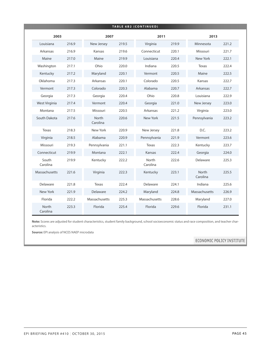|                   |       |                   |       | <b>TABLE 6B2 (CONTINUED)</b> |       |                   |       |
|-------------------|-------|-------------------|-------|------------------------------|-------|-------------------|-------|
| 2003              |       | 2007              |       | 2011                         |       | 2013              |       |
| Louisiana         | 216.9 | New Jersey        | 219.5 | Virginia                     | 219.9 | Minnesota         | 221.2 |
| Arkansas          | 216.9 | Kansas            | 219.6 | Connecticut                  | 220.1 | Missouri          | 221.7 |
| Maine             | 217.0 | Maine             | 219.9 | Louisiana                    | 220.4 | New York          | 222.1 |
| Washington        | 217.1 | Ohio              | 220.0 | Indiana                      | 220.5 | Texas             | 222.4 |
| Kentucky          | 217.2 | Maryland          | 220.1 | Vermont                      | 220.5 | Maine             | 222.5 |
| Oklahoma          | 217.3 | Arkansas          | 220.1 | Colorado                     | 220.5 | Kansas            | 222.7 |
| Vermont           | 217.3 | Colorado          | 220.3 | Alabama                      | 220.7 | Arkansas          | 222.7 |
| Georgia           | 217.3 | Georgia           | 220.4 | Ohio                         | 220.8 | Louisiana         | 222.9 |
| West Virginia     | 217.4 | Vermont           | 220.4 | Georgia                      | 221.0 | New Jersey        | 223.0 |
| Montana           | 217.5 | Missouri          | 220.5 | Arkansas                     | 221.2 | Virginia          | 223.0 |
| South Dakota      | 217.6 | North<br>Carolina | 220.6 | New York                     | 221.5 | Pennsylvania      | 223.2 |
| Texas             | 218.3 | New York          | 220.9 | New Jersey                   | 221.8 | D.C.              | 223.2 |
| Virginia          | 218.5 | Alabama           | 220.9 | Pennsylvania                 | 221.9 | Vermont           | 223.6 |
| Missouri          | 219.3 | Pennsylvania      | 221.1 | Texas                        | 222.3 | Kentucky          | 223.7 |
| Connecticut       | 219.9 | Montana           | 222.1 | Kansas                       | 222.4 | Georgia           | 224.0 |
| South<br>Carolina | 219.9 | Kentucky          | 222.2 | North<br>Carolina            | 222.6 | Delaware          | 225.3 |
| Massachusetts     | 221.6 | Virginia          | 222.3 | Kentucky                     | 223.1 | North<br>Carolina | 225.5 |
| Delaware          | 221.8 | Texas             | 222.4 | Delaware                     | 224.1 | Indiana           | 225.6 |
| New York          | 221.9 | Delaware          | 224.2 | Maryland                     | 224.8 | Massachusetts     | 226.9 |
| Florida           | 222.2 | Massachusetts     | 225.3 | Massachusetts                | 228.6 | Maryland          | 227.0 |
| North<br>Carolina | 223.3 | Florida           | 225.4 | Florida                      | 229.6 | Florida           | 231.1 |

**Note:** Scores are adjusted for student characteristics, student family background, school socioeconomic status and race composition, and teacher characteristics.

**Source:** EPI analysis of NCES NAEP microdata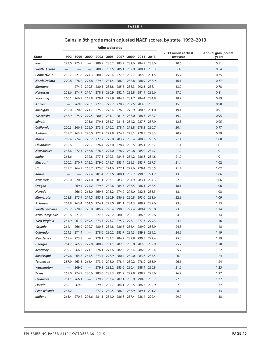#### **TABLE 7**

### **Gains in 8th grade math adjusted NAEP scores, by state, 1992–2013**

**Adjusted scores**

| <b>State</b>          |       |                   |                                  |       | 1992 1996 2000 2003 2005 2007 2009 2011 2013          |             |                         |             |       | 2013 minus earliest<br>test year | Annual gain (points/<br>year) |
|-----------------------|-------|-------------------|----------------------------------|-------|-------------------------------------------------------|-------------|-------------------------|-------------|-------|----------------------------------|-------------------------------|
| Iowa                  |       | 273.0 275.9       | $\overbrace{\phantom{12322111}}$ | 280.7 |                                                       |             | 280.2 283.7 281.6 284.7 |             | 283.6 | 10.6                             | 0.51                          |
| <b>South Dakota</b>   |       |                   |                                  | 280.9 | 283.5                                                 | 285.1       | 287.9                   | 288.1       | 286.3 | 5.4                              | 0.54                          |
| Connecticut           | 265.7 |                   | 271.8 274.3                      |       | 280.5 278.4 277.7 282.7                               |             |                         | 282.8 281.5 |       | 15.7                             | 0.75                          |
| <b>North Dakota</b>   | 270.8 |                   |                                  |       | 276.2 273.8 279.2 281.4 286.0 288.8                   |             |                         | 288.9 286.9 |       | 16.1                             | 0.77                          |
| Montana               |       |                   |                                  |       | 274.9 279.5 280.5 283.8 285.8 288.3 292.3 288.1       |             |                         |             |       | 13.2                             | 0.78                          |
| <b>Nebraska</b>       | 268.6 |                   |                                  |       | 274.7 274.1 278.1 280.9 282.4 282.8 281.9 285.6       |             |                         |             |       | 17.0                             | 0.81                          |
| Wyoming               | 266.1 |                   | 266.9 269.8 279.4 279.9          |       |                                                       |             | 284.3 281.7             | 284.4 284.8 |       | 18.7                             | 0.89                          |
| Arizona               |       |                   |                                  |       | 269.8 270.1 277.5 279.7 278.7 282.5 283.8 285.1       |             |                         |             |       | 15.3                             | 0.90                          |
| Michigan              | 262.0 | 270.8             |                                  |       | 271.7 275.5 276.4 276.8 278.9 280.7                   |             |                         |             | 281.0 | 19.1                             | 0.91                          |
| Wisconsin             | 268.9 |                   |                                  |       | 275.9 279.5 280.0 281.1 281.6 286.0 288.3 288.7       |             |                         |             |       | 19.9                             | 0.95                          |
| <b>Illinois</b>       |       |                   |                                  |       | 275.6 279.3 281.7 281.5 284.2 287.7                   |             |                         |             | 287.9 | 12.3                             | 0.95                          |
| California            | 260.3 | 266.1             |                                  |       | 265.0 273.5 276.2 278.4 278.8 278.3 280.7             |             |                         |             |       | 20.4                             | 0.97                          |
| Alabama               | 257.7 |                   |                                  |       | 263.9 270.0 272.2 272.8 274.3 278.1                   |             |                         | 278.5 278.3 |       | 20.7                             | 0.99                          |
| <b>Maine</b>          | 269.4 | 274.6             |                                  |       | 275.2 277.2 279.8 283.2 285.4 288.7 290.5             |             |                         |             |       | 21.1                             | 1.00                          |
| <b>Oklahoma</b>       | 262.6 |                   |                                  |       | 270.7 276.4 277.0 278.4 280.5 285.1                   |             |                         |             | 283.7 | 21.1                             | 1.01                          |
| <b>New Mexico</b>     |       | 263.6 272.3       |                                  |       | 266.8 276.8 275.0 278.9 280.8 285.0 284.7             |             |                         |             |       | 21.2                             | 1.01                          |
| Idaho                 | 263.6 |                   |                                  |       | 272.8 277.5 279.3 284.6 284.2 286.8 284.8             |             |                         |             |       | 21.2                             | 1.01                          |
| <b>Missouri</b>       |       |                   |                                  |       | 266.2 270.7 272.2 279.6 278.7 283.4 285.3 283.7 287.5 |             |                         |             |       | 21.4                             | 1.02                          |
| Utah                  | 259.2 | 264.9             |                                  |       | 265.7 275.0 274.6 277.1                               |             | 277.6 279.4 280.5       |             |       | 21.4                             | 1.02                          |
| <b>Kansas</b>         |       |                   |                                  |       | 277.4 281.4 283.6 288.1 289.7 290.3 291.2             |             |                         |             |       | 13.8                             | 1.06                          |
| <b>New York</b>       |       |                   |                                  |       | 262.0 270.2 274.0 281.1 283.1 283.8 284.9 283.1       |             |                         |             | 284.3 | 22.3                             | 1.06                          |
| Oregon                |       |                   |                                  |       | 269.4 274.2 279.8 282.6 284.3 286.5                   |             |                         | 286.1       | 287.5 | 18.1                             | 1.06                          |
| Nevada                |       |                   |                                  |       | 266.9 265.0 269.6 273.2 274.2 276.0 282.3 285.3       |             |                         |             |       | 18.4                             | 1.08                          |
| <b>Minnesota</b>      | 268.8 |                   |                                  |       | 275.9 279.5 285.3 286.9 286.8 290.8                   |             |                         | 293.0 291.6 |       | 22.8                             | 1.09                          |
| <b>Arkansas</b>       | 263.8 |                   |                                  |       | 263.4 264.5 274.1 279.0 281.1 284.3 288.2 287.6       |             |                         |             |       | 23.8                             | 1.13                          |
| <b>South Carolina</b> |       |                   |                                  |       | 266.2 270.0 275.8 285.2 290.4 290.3 292.4 289.4 290.0 |             |                         |             |       | 23.8                             | 1.14                          |
| <b>New Hampshire</b>  | 265.6 | 271.8             |                                  | 277.3 | 278.2                                                 | 280.8 286.1 |                         | 286.7       | 289.6 | 24.0                             | 1.14                          |
| West Virginia         | 254.9 |                   | 261.0 269.4                      |       | 273.5 273.7 275.9 276.1                               |             |                         | 277.3 279.3 |       | 24.4                             | 1.16                          |
| Virginia              | 264.1 | 266.9             | 272.7                            |       | 280.8 284.8                                           | 286.8       | 286.4                   | 289.0 288.9 |       | 24.8                             | 1.18                          |
| Colorado              |       | 264.3 271.4       |                                  |       | 278.6 280.2 283.7 284.3                               |             |                         | 289.8 289.2 |       | 24.9                             | 1.19                          |
| <b>New Jersey</b>     |       | 267.4 273.8       |                                  | 279.1 |                                                       | 283.2 284.7 | 287.8                   | 290.5 292.4 |       | 25.0                             | 1.19                          |
| Georgia               |       | 264.7 265.9 272.0 |                                  |       | 280.7 281.1 282.3 286.0                               |             |                         | 287.8 289.9 |       | 25.2                             | 1.20                          |
| Kentucky              |       |                   |                                  |       | 259.7 266.2 271.1 276.1 277.6 282.7 283.4 286.0 285.4 |             |                         |             |       | 25.7                             | 1.22                          |
| <b>Mississippi</b>    |       |                   |                                  |       | 259.6 264.8 264.5 273.5 277.9 280.4 280.0 283.7 285.5 |             |                         |             |       | 26.0                             | 1.24                          |
| Tennessee             |       |                   |                                  |       | 257.9 263.5 266.4 273.2 278.0 278.4 280.2 278.9 283.9 |             |                         |             |       | 26.1                             | 1.24                          |
| Washington            |       | 269.6             | $\qquad \qquad -$                |       | 279.3 282.2 283.6 286.4 288.4 290.8                   |             |                         |             |       | 21.2                             | 1.25                          |
| Texas                 |       |                   |                                  |       | 269.0 274.9 280.6 283.6 288.3 291.7 292.8 298.7 295.6 |             |                         |             |       | 26.7                             | 1.27                          |
| <b>Delaware</b>       |       | 261.1 266.1       | $\overline{\phantom{0}}$         |       | 279.9 283.4 287.1 288.9 290.8 288.7                   |             |                         |             |       | 27.6                             | 1.32                          |
| Florida               |       | 262.1 269.0       |                                  |       | 279.2 282.7 284.1 288.5 286.3 289.9                   |             |                         |             |       | 27.8                             | 1.32                          |
| Pennsylvania          | 263.2 |                   | $\qquad \qquad -$                |       | 277.9 280.5 286.2 287.9 289.1 291.2                   |             |                         |             |       | 28.0                             | 1.33                          |
| Indiana               |       |                   |                                  |       | 263.4 270.4 276.6 281.1 284.0 286.8 287.4 288.4 292.4 |             |                         |             |       | 29.0                             | 1.38                          |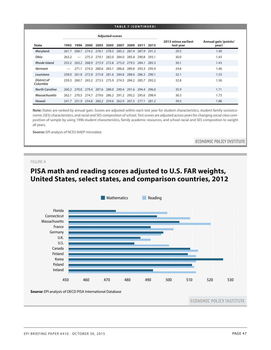#### **TABLE 7 ( C ONTINUED )**

|                         |       |                          |             |       | <b>Adjusted scores</b>                                |                         |                   |           |       |                                  |                               |
|-------------------------|-------|--------------------------|-------------|-------|-------------------------------------------------------|-------------------------|-------------------|-----------|-------|----------------------------------|-------------------------------|
| <b>State</b>            | 1992  |                          | 1996 2000   |       | 2003 2005 2007                                        |                         | 2009              | 2011 2013 |       | 2013 minus earliest<br>test year | Annual gain (points/<br>year) |
| Maryland                | 261.7 |                          | 268.7 274.2 | 278.1 |                                                       | 278.5 285.2 287.4       |                   | 287.9     | 291.2 | 29.5                             | 1.40                          |
| Ohio                    | 263.2 | $\overline{\phantom{0}}$ | 275.3       | 279.1 |                                                       | 282.0 284.0 285.8 290.8 |                   |           | 293.1 | 30.0                             | 1.43                          |
| Rhode Island            |       |                          |             |       | 255.2 263.2 268.9 273.9 272.8 275.0 279.5 284.1 285.3 |                         |                   |           |       | 30.1                             | 1.43                          |
| Vermont                 |       |                          | 271.1 274.3 |       | 280.6 283.1                                           |                         | 286.6 289.8 293.3 |           | 295.9 | 24.8                             | 1.46                          |
| Louisiana               |       |                          |             |       | 258.0 261.8 272.9 275.8 281.6 284.8 288.6 286.3 290.1 |                         |                   |           |       | 32.1                             | 1.53                          |
| District of<br>Columbia | 259.3 |                          |             |       | 260.7 265.2 273.5 275.9 274.5 284.2 285.7 292.2       |                         |                   |           |       | 32.8                             | 1.56                          |
| <b>North Carolina</b>   |       |                          |             |       | 260.2 270.0 279.4 287.6 288.0 290.4 291.6 294.4 296.0 |                         |                   |           |       | 35.9                             | 1.71                          |
| <b>Massachusetts</b>    |       |                          |             |       | 262.1 270.5 274.7 279.6 286.2 291.2 295.2 295.6 298.4 |                         |                   |           |       | 36.3                             | 1.73                          |
| Hawaii                  |       |                          |             |       | 241.7 251.9 254.8 260.2 259.6 262.9 267.5 277.1       |                         |                   |           | 281.2 | 39.5                             | 1.88                          |

**Note:** States are ranked by annual gain. Scores are adjusted within each test year for student characteristics, student family socioeconomic (SES) characteristics, and racial and SES composition of school. Test scores are adjusted across years for changing social class composition of sample by using 1996 student characteristics, family academic resources, and school racial and SES composition to weight all years.

**Source:** EPI analysis of NCES NAEP microdata

ECONOMIC POLICY INSTITUTE

#### FIGURE A

# **PISA math and reading scores adjusted to U.S. FAR weights, United States, select states, and comparison countries, 2012**

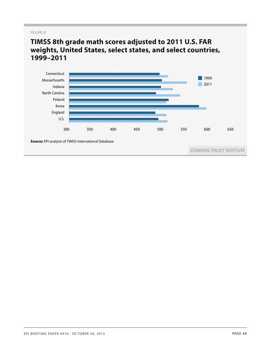#### FIGURE B

# **TIMSS 8th grade math scores adjusted to 2011 U.S. FAR weights, United States, select states, and select countries, 1999–2011**

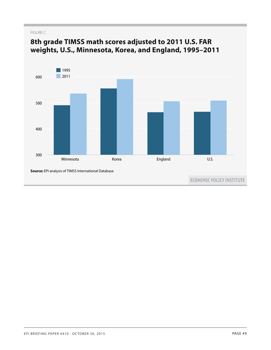#### FIGURE C



# **8th grade TIMSS math scores adjusted to 2011 U.S. FAR weights, U.S., Minnesota, Korea, and England, 1995–2011** 700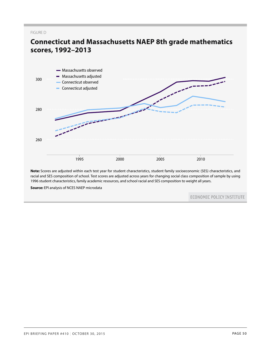#### FIGURE D

# **Connecticut and Massachusetts NAEP 8th grade mathematics scores, 1992–2013** 320



**Note:** Scores are adjusted within each test year for student characteristics, student family socioeconomic (SES) characteristics, and racial and SES composition of school. Test scores are adjusted across years for changing social class composition of sample by using 1996 student characteristics, family academic resources, and school racial and SES composition to weight all years.

**Source:** EPI analysis of NCES NAEP microdata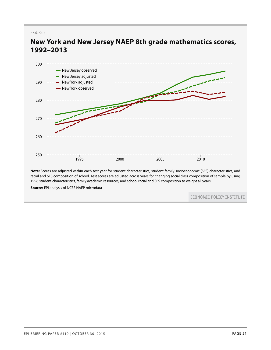FIGURE E



**New York and New Jersey NAEP 8th grade mathematics scores, 1992–2013**

**Note:** Scores are adjusted within each test year for student characteristics, student family socioeconomic (SES) characteristics, and racial and SES composition of school. Test scores are adjusted across years for changing social class composition of sample by using 1996 student characteristics, family academic resources, and school racial and SES composition to weight all years.

**Source:** EPI analysis of NCES NAEP microdata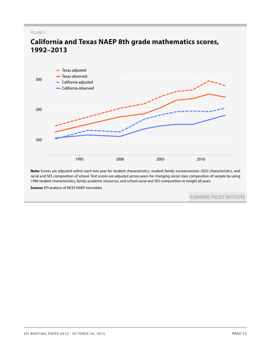FIGURE F



# **California and Texas NAEP 8th grade mathematics scores, 1992–2013** 320

**Note:** Scores are adjusted within each test year for student characteristics, student family socioeconomic (SES) characteristics, and racial and SES composition of school. Test scores are adjusted across years for changing social class composition of sample by using 1996 student characteristics, family academic resources, and school racial and SES composition to weight all years.

**Source:** EPI analysis of NCES NAEP microdata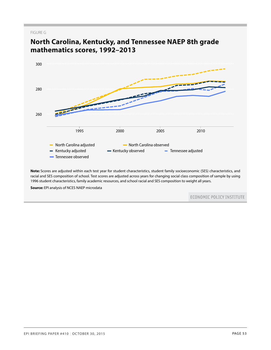#### FIGURE G



# **North Carolina, Kentucky, and Tennessee NAEP 8th grade mathematics scores, 1992–2013**

**Source:** EPI analysis of NCES NAEP microdata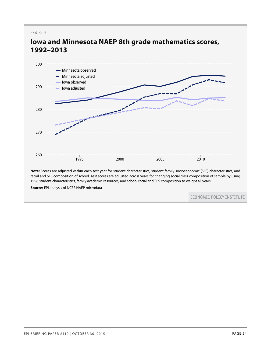FIGURE H



# **Iowa and Minnesota NAEP 8th grade mathematics scores, 1992–2013**

**Note:** Scores are adjusted within each test year for student characteristics, student family socioeconomic (SES) characteristics, and racial and SES composition of school. Test scores are adjusted across years for changing social class composition of sample by using 1996 student characteristics, family academic resources, and school racial and SES composition to weight all years.

**Source:** EPI analysis of NCES NAEP microdata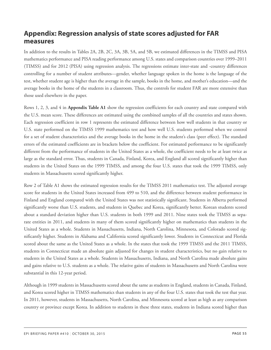# <span id="page-54-0"></span>**Appendix: Regression analysis of state scores adjusted for FAR measures**

In addition to the results in Tables 2A, 2B, 2C, 3A, 3B, 5A, and 5B, we estimated differences in the TIMSS and PISA mathematics performance and PISA reading performance among U.S. states and comparison countries over 1999–2011 (TIMSS) and for 2012 (PISA) using regression analysis. The regressions estimate inter-state and -country differences controlling for a number of student attributes—gender, whether language spoken in the home is the language of the test, whether student age is higher than the average in the sample, books in the home, and mother's education—and the average books in the home of the students in a classroom. Thus, the controls for student FAR are more extensive than those used elsewhere in the paper.

Rows 1, 2, 3, and 4 in **Appendix Table A1** show the regression coefficients for each country and state compared with the U.S. mean score. These differences are estimated using the combined samples of all the countries and states shown. Each regression coefficient in row 1 represents the estimated difference between how well students in that country or U.S. state performed on the TIMSS 1999 mathematics test and how well U.S. students performed when we control for a set of student characteristics and the average books in the home in the student's class (peer effect). The standard errors of the estimated coefficients are in brackets below the coefficient. For estimated performance to be significantly different from the performance of students in the United States as a whole, the coefficient needs to be at least twice as large as the standard error. Thus, students in Canada, Finland, Korea, and England all scored significantly higher than students in the United States on the 1999 TIMSS, and among the four U.S. states that took the 1999 TIMSS, only students in Massachusetts scored significantly higher.

Row 2 of Table A1 shows the estimated regression results for the TIMSS 2011 mathematics test. The adjusted average score for students in the United States increased from 499 to 510, and the difference between student performance in Finland and England compared with the United States was not statistically significant. Students in Alberta performed significantly worse than U.S. students, and students in Quebec and Korea, significantly better. Korean students scored about a standard deviation higher than U.S. students in both 1999 and 2011. Nine states took the TIMSS as separate entities in 2011, and students in many of them scored significantly higher on mathematics than students in the United States as a whole. Students in Massachusetts, Indiana, North Carolina, Minnesota, and Colorado scored significantly higher. Students in Alabama and California scored significantly lower. Students in Connecticut and Florida scored about the same as the United States as a whole. In the states that took the 1999 TIMSS and the 2011 TIMSS, students in Connecticut made an absolute gain adjusted for changes in student characteristics, but no gain relative to students in the United States as a whole. Students in Massachusetts, Indiana, and North Carolina made absolute gains and gains relative to U.S. students as a whole. The relative gains of students in Massachusetts and North Carolina were substantial in this 12-year period.

Although in 1999 students in Massachusetts scored about the same as students in England, students in Canada, Finland, and Korea scored higher in TIMSS mathematics than students in any of the four U.S. states that took the test that year. In 2011, however, students in Massachusetts, North Carolina, and Minnesota scored at least as high as any comparison country or province except Korea. In addition to students in these three states, students in Indiana scored higher than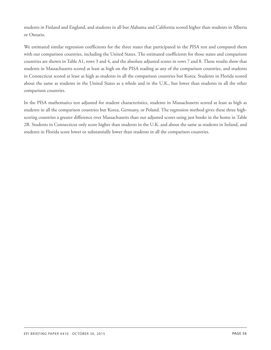students in Finland and England, and students in all but Alabama and California scored higher than students in Alberta or Ontario.

We estimated similar regression coefficients for the three states that participated in the PISA test and compared them with our comparison countries, including the United States. The estimated coefficients for those states and comparison countries are shown in Table A1, rows 3 and 4, and the absolute adjusted scores in rows 7 and 8. These results show that students in Massachusetts scored at least as high on the PISA reading as any of the comparison countries, and students in Connecticut scored at least as high as students in all the comparison countries but Korea. Students in Florida scored about the same as students in the United States as a whole and in the U.K., but lower than students in all the other comparison countries.

In the PISA mathematics test adjusted for student characteristics, students in Massachusetts scored at least as high as students in all the comparison countries but Korea, Germany, or Poland. The regression method gives these three highscoring countries a greater difference over Massachusetts than our adjusted scores using just books in the home in Table 2B. Students in Connecticut only score higher than students in the U.K. and about the same as students in Ireland, and students in Florida score lower or substantially lower than students in all the comparison countries.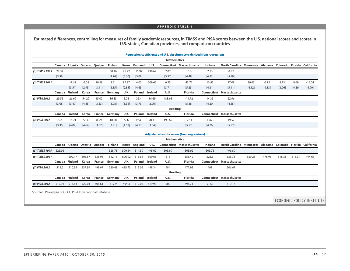#### **APPENDIX TABLE 1**

**Estimated differences, controlling for measures of family academic resources, in TIMSS and PISA scores between the U.S. national scores and scores in U.S. states, Canadian provinces, and comparison countries**

|                |        |                |         |                |                       |         |         |         |                    | Regression coefficients and U.S. absolute score derived from regressions |             |                |                            |         |          |         |            |
|----------------|--------|----------------|---------|----------------|-----------------------|---------|---------|---------|--------------------|--------------------------------------------------------------------------|-------------|----------------|----------------------------|---------|----------|---------|------------|
|                |        |                |         |                |                       |         |         |         | <b>Mathematics</b> |                                                                          |             |                |                            |         |          |         |            |
|                | Canada | Alberta        |         | Ontario Quebec | <b>Finland</b>        | Korea   | England | U.S.    |                    | <b>Connecticut Massachusetts</b>                                         | Indiana     | North Carolina | Minnesota Alabama Colorado |         |          | Florida | California |
| (1) TIMSS 1999 | 27.34  |                |         |                | 30.16                 | 91.72   | 15.97   | 498.62  | 7.07               | 10.3                                                                     | 7.13        | $-1.73$        |                            |         |          |         |            |
|                | [3.38] |                |         |                | [4.70]                | [3.30]  | [5.08]  |         | [5.57]             | [4.48]                                                                   | [6.83]      | [5.19]         |                            |         |          |         |            |
| (2) TIMSS 2011 |        | $-7.48$        | $-3.08$ | 29.28          | 2.51                  | 97.27   | 4.03    | 509.65  | 6.35               | 43.77                                                                    | 13.95       | 27.08          | 29.63                      | $-32.7$ | 8.73     | 8.69    | $-15.04$   |
|                |        | [3.51]         | [2.93]  | [3.11]         | [3.15]                | [2.85]  | [4.63]  |         | [3.71]             | [5.23]                                                                   | [4.31]      | [5.11]         | [4.12]                     | [4.13]  | $[3.96]$ | [4.89]  | [4.90]     |
|                | Canada | Finland        | Korea   | France         | Germany               | U.K.    | Poland  | Ireland | U.S.               | <b>Florida</b>                                                           | Connecticut | Massachusetts  |                            |         |          |         |            |
| (3) PISA 2012  | 29.55  | 26.69          | 54.29   | 15.02          | 36.83                 | 5.08    | 35.4    | 14.69   | 483.65             | $-11.72$                                                                 | 14.35       | 22.96          |                            |         |          |         |            |
|                | [3.08] | [3.47]         | [4.45]  | [3.53]         | [3.98]                | [3.34]  | [3.73]  | [2.96]  |                    | [5.38]                                                                   | [4.20]      | [4.55]         |                            |         |          |         |            |
|                |        |                |         |                |                       |         |         |         | Reading            |                                                                          |             |                |                            |         |          |         |            |
|                |        | Canada Finland | Korea   |                | <b>France Germany</b> | U.K.    | Poland  | Ireland | U.S.               | <b>Florida</b>                                                           | Connecticut | Massachusetts  |                            |         |          |         |            |
| (4) PISA 2012  | 18.29  | 16.21          | 22.39   | 8.99           | 18.28                 | $-5.32$ | 19.43   | 20.31   | 499.62             | $-2.91$                                                                  | 13.68       | 19.52          |                            |         |          |         |            |
|                | [3.30] | [4.02]         | [4.64]  | [3.67]         | [3.91]                | [4.01]  | [4.13]  | [3.54]  |                    | [5.57]                                                                   | [4.76]      | $[5.57]$       |                            |         |          |         |            |
|                |        |                |         |                |                       |         |         |         |                    |                                                                          |             |                |                            |         |          |         |            |

|                         | <b>Mathematics</b> |                |                               |        |                       |        |               |         |         |                                  |         |                                  |                            |        |        |        |                    |
|-------------------------|--------------------|----------------|-------------------------------|--------|-----------------------|--------|---------------|---------|---------|----------------------------------|---------|----------------------------------|----------------------------|--------|--------|--------|--------------------|
|                         |                    |                | Canada Alberta Ontario Quebec |        | Finland               |        | Korea England | U.S.    |         | <b>Connecticut Massachusetts</b> | Indiana | <b>North Carolina</b>            | Minnesota Alabama Colorado |        |        |        | Florida California |
| $(5)$ TIMSS 1999 525.96 |                    |                |                               |        | 528.78                | 590.34 | 514.59        | 498.62  | 505.69  | 508.92                           | 505.75  | 496.89                           |                            |        |        |        |                    |
| (6) TIMSS 2011          |                    | 502.17         | 506.57                        | 538.93 | 512.16                | 606.92 | 513.68        | 509.65  | 516     | 553.42                           | 523.6   | 536.73                           | 539.28                     | 476.95 | 518.38 | 518.34 | 494.61             |
|                         |                    | Canada Finland | Korea                         |        | <b>France Germany</b> | U.K.   | Poland        | Ireland | U.S.    | Florida                          |         | <b>Connecticut Massachusetts</b> |                            |        |        |        |                    |
| (7) PISA 2012           | 513.2              | 510.34         | 537.94                        | 498.67 | 520.48                | 488.73 | 519.05        | 498.34  | 484     | 471.93                           | 498     | 506.61                           |                            |        |        |        |                    |
|                         |                    |                |                               |        |                       |        |               |         | Reading |                                  |         |                                  |                            |        |        |        |                    |
|                         |                    | Canada Finland | Korea                         | France | Germany               | U.K.   | Poland        | Ireland | U.S.    | Florida                          |         | <b>Connecticut Massachusetts</b> |                            |        |        |        |                    |
| (8) PISA 2012           | 517.91             | 515.83         | 522.01                        | 508.61 | 517.9                 | 494.3  | 519.05        | 519.93  | 500     | 496.71                           | 513.3   | 519.14                           |                            |        |        |        |                    |

**Source:** EPI analysis of OECD PISA International Database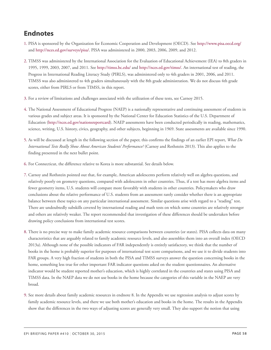# <span id="page-57-0"></span>**Endnotes**

- <span id="page-57-1"></span>[1.](#page-2-1) PISA is sponsored by the Organization for Economic Cooperation and Development (OECD). See <http://www.pisa.oecd.org/> and <http://nces.ed.gov/surveys/pisa/>. PISA was administered in 2000, 2003, 2006, 2009, and 2012.
- <span id="page-57-2"></span>[2.](#page-2-2) TIMSS was administered by the International Association for the Evaluation of Educational Achievement (IEA) to 8th graders in 1995, 1999, 2003, 2007, and 2011. See <http://timss.bc.edu/> and [http://nces.ed.gov/timss/.](http://nces.ed.gov/timss/) An international test of reading, the Progress in International Reading Literacy Study (PIRLS), was administered only to 4th graders in 2001, 2006, and 2011. TIMSS was also administered to 4th graders simultaneously with the 8th grade administration. We do not discuss 4th grade scores, either from PIRLS or from TIMSS, in this report.
- <span id="page-57-3"></span>[3.](#page-2-3) For a review of limitations and challenges associated with the utilization of these tests, see Carnoy 2015.
- <span id="page-57-4"></span>[4.](#page-2-4) The National Assessment of Educational Progress (NAEP) is a nationally representative and continuing assessment of students in various grades and subject areas. It is sponsored by the National Center for Education Statistics of the U.S. Department of Education (<http://nces.ed.gov/nationsreportcard>). NAEP assessments have been conducted periodically in reading, mathematics, science, writing, U.S. history, civics, geography, and other subjects, beginning in 1969. State assessments are available since 1990.
- <span id="page-57-5"></span>[5.](#page-3-0) As will be discussed at length in the following section of the paper, this confirms the findings of an earlier EPI report, *What Do International Tests Really Show About American Students' Performance?* (Carnoy and Rothstein 2013). This also applies to the finding presented in the next bullet point.
- <span id="page-57-6"></span>[6.](#page-3-1) For Connecticut, the difference relative to Korea is more substantial. See details below.
- <span id="page-57-7"></span>[7.](#page-6-1) Carnoy and Rothstein pointed out that, for example, American adolescents perform relatively well on algebra questions, and relatively poorly on geometry questions, compared with adolescents in other countries. Thus, if a test has more algebra items and fewer geometry items, U.S. students will compare more favorably with students in other countries. Policymakers who draw conclusions about the relative performance of U.S. students from an assessment rarely consider whether there is an appropriate balance between these topics on any particular international assessment. Similar questions arise with regard to a "reading" test. There are undoubtedly subskills covered by international reading and math tests on which some countries are relatively stronger and others are relatively weaker. The report recommended that investigation of these differences should be undertaken before drawing policy conclusions from international test scores.
- <span id="page-57-8"></span>[8.](#page-6-2) There is no precise way to make family academic resource comparisons between countries (or states). PISA collects data on many characteristics that are arguably related to family academic resource levels, and also assembles them into an overall index (OECD 2013a). Although none of the possible indicators of FAR independently is entirely satisfactory, we think that the number of books in the home is probably superior for purposes of international test score comparisons, and we use it to divide students into FAR groups. A very high fraction of students in both the PISA and TIMSS surveys answer the question concerning books in the home, something less true for other important FAR indicator questions asked on the student questionnaires. An alternative indicator would be student reported mother's education, which is highly correlated in the countries and states using PISA and TIMSS data. In the NAEP data we do not use books in the home because the categories of this variable in the NAEP are very broad.
- <span id="page-57-9"></span>[9.](#page-8-1) See more details about family academic resources in endnote 8. In the Appendix we use regression analysis to adjust scores by family academic resource levels, and there we use both mother's education and books in the home. The results in the Appendix show that the differences in the two ways of adjusting scores are generally very small. They also support the notion that using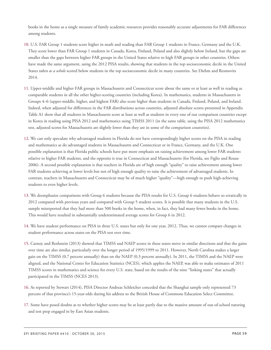books in the home as a single measure of family academic resources provides reasonably accurate adjustments for FAR differences among students.

- <span id="page-58-0"></span>[10.](#page-9-1) U.S. FAR Group 1 students score higher in math and reading than FAR Group 1 students in France, Germany and the U.K. They score lower than FAR Group 1 students in Canada, Korea, Finland, Poland and also slightly below Ireland, but the gaps are smaller than the gaps between higher FAR groups in the United States relative to high FAR groups in other countries. Others have made the same argument, using the 2012 PISA results, showing that students in the top socioeconomic decile in the United States *taken as a whole* scored below students in the top socioeconomic decile in many countries. See Diehm and Resmovits 2014.
- <span id="page-58-1"></span>[11.](#page-9-2) Upper-middle and higher FAR groups in Massachusetts and Connecticut score about the same or at least as well in reading as comparable students in all the other higher-scoring countries (including Korea). In mathematics, students in Massachusetts in Groups 4–6 (upper-middle, higher, and highest FAR) also score higher than students in Canada, Finland, Poland, and Ireland. Indeed, when adjusted for differences in the FAR distributions across countries, adjusted absolute scores presented in Appendix Table A1 show that all students in Massachusetts score at least as well as students in every one of our comparison countries except in Korea in reading using PISA 2012 and mathematics using TIMSS 2011 (in the same table, using the PISA 2012 mathematics test, adjusted scores for Massachusetts are slightly lower than they are in some of the comparison countries).
- <span id="page-58-2"></span>[12.](#page-9-2) We can only speculate why advantaged students in Florida do not have correspondingly higher scores on the PISA in reading and mathematics as do advantaged students in Massachusetts and Connecticut or in France, Germany, and the U.K. One possible explanation is that Florida public schools have put more emphasis on raising achievement among lower FAR students relative to higher FAR students, and the opposite is true in Connecticut and Massachusetts (for Florida, see Figlio and Rouse 2006). A second possible explanation is that teachers in Florida are of high enough "quality" to raise achievement among lower FAR students achieving at lower levels but not of high enough quality to raise the achievement of advantaged students. In contrast, teachers in Massachusetts and Connecticut may be of much higher "quality"—high enough to push high-achieving students to even higher levels.
- <span id="page-58-3"></span>[13.](#page-9-3) We deemphasize comparisons with Group 6 students because the PISA results for U.S. Group 6 students behave so erratically in 2012 compared with previous years and compared with Group 5 student scores. It is possible that many students in the U.S. sample misreported that they had more than 500 books in the home, when, in fact, they had many fewer books in the home. This would have resulted in substantially underestimated average scores for Group 6 in 2012.
- <span id="page-58-4"></span>[14.](#page-10-1) We have student performance on PISA in three U.S. states but only for one year, 2012. Thus, we cannot compare changes in student performance across states on the PISA test over time.
- <span id="page-58-5"></span>[15.](#page-11-1) Carnoy and Rothstein (2013) showed that TIMSS and NAEP scores in these states move in similar directions and that the gains over time are also similar, particularly over the longer period of 1995/1999 to 2011. However, North Carolina makes a larger gain on the TIMSS (0.7 percent annually) than on the NAEP (0.3 percent annually). In 2011, the TIMSS and the NAEP were aligned, and the National Center for Education Statistics (NCES), which applies the NAEP, was able to make estimates of 2011 TIMSS scores in mathematics and science for every U.S. state, based on the results of the nine "linking states" that actually participated in the TIMSS (NCES 2013).
- <span id="page-58-6"></span>[16.](#page-12-1) As reported by Stewart (2014), PISA Director Andreas Schleicher conceded that the Shanghai sample only represented 73 percent of that province's 15-year-olds during his address to the British House of Commons Education Select Committee.
- <span id="page-58-7"></span>[17.](#page-12-2) Some have posed doubts as to whether higher scores may be at least partly due to the massive amount of out-of-school tutoring and test prep engaged in by East Asian students.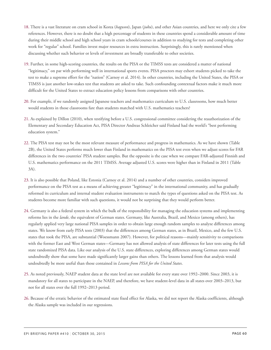- <span id="page-59-0"></span>[18.](#page-13-1) There is a vast literature on cram school in Korea (*hagwon*), Japan (*juku*), and other Asian countries, and here we only cite a few references. However, there is no doubt that a high percentage of students in these countries spend a considerable amount of time during their middle school and high school years in cram schools/courses in addition to studying for tests and completing other work for "regular" school. Families invest major resources in extra instruction. Surprisingly, this is rarely mentioned when discussing whether such behavior or levels of investment are broadly transferable to other societies.
- <span id="page-59-1"></span>[19.](#page-13-2) Further, in some high-scoring countries, the results on the PISA or the TIMSS tests are considered a matter of national "legitimacy," on par with performing well in international sports events. PISA proctors may exhort students picked to take the test to make a supreme effort for the "nation" (Carnoy et al. 2014). In other countries, including the United States, the PISA or TIMSS is just another low-stakes test that students are asked to take. Such confounding contextual factors make it much more difficult for the United States to extract education policy lessons from comparisons with other countries.
- <span id="page-59-2"></span>[20.](#page-14-0) For example, if we randomly assigned Japanese teachers and mathematics curriculum to U.S. classrooms, how much better would students in those classrooms fare than students matched with U.S. mathematics teachers?
- <span id="page-59-3"></span>[21.](#page-14-1) As explained by Dillon (2010), when testifying before a U.S. congressional committee considering the reauthorization of the Elementary and Secondary Education Act, PISA Director Andreas Schleicher said Finland had the world's "best performing education system."
- <span id="page-59-4"></span>[22.](#page-14-2) The PISA test may not be the most relevant measure of performance and progress in mathematics. As we have shown (Table 2B), the United States performs much lower than Finland in mathematics on the PISA test even when we adjust scores for FAR differences in the two countries' PISA student samples. But the opposite is the case when we compare FAR-adjusted Finnish and U.S. mathematics performance on the 2011 TIMSS. Average adjusted U.S. scores were higher than in Finland in 2011 (Table 3A).
- <span id="page-59-5"></span>[23.](#page-14-3) It is also possible that Poland, like Estonia (Carnoy et al. 2014) and a number of other countries, considers improved performance on the PISA test as a means of achieving greater "legitimacy" in the international community, and has gradually reformed its curriculum and internal student evaluation instruments to match the types of questions asked on the PISA test. As students become more familiar with such questions, it would not be surprising that they would perform better.
- <span id="page-59-6"></span>[24.](#page-14-4) Germany is also a federal system in which the bulk of the responsibility for managing the education systems and implementing reforms lies in the *lande*, the equivalent of German states. Germany, like Australia, Brazil, and Mexico (among others), has regularly applied very large national PISA samples in order to obtain large enough random samples to analyze differences among states. We know from early PISA tests (2003) that the differences among German states, as in Brazil, Mexico, and the few U.S. states that took the PISA, are substantial (Woessmann 2007). However, for political reasons—mainly sensitivity to comparisons with the former East and West German states—Germany has not allowed analysis of state differences for later tests using the full state randomized PISA data. Like our analysis of the U.S. state differences, exploring differences among German states would undoubtedly show that some have made significantly larger gains than others. The lessons learned from that analysis would undoubtedly be more useful than those contained in *Lessons from PISA for the United States*.
- <span id="page-59-7"></span>[25.](#page-16-2) As noted previously, NAEP student data at the state level are not available for every state over 1992–2000. Since 2003, it is mandatory for all states to participate in the NAEP, and therefore, we have student-level data in all states over 2003–2013, but not for all states over the full 1992–2013 period.
- <span id="page-59-8"></span>[26.](#page-17-1) Because of the erratic behavior of the estimated state fixed effect for Alaska, we did not report the Alaska coefficients, although the Alaska sample was included in our regressions.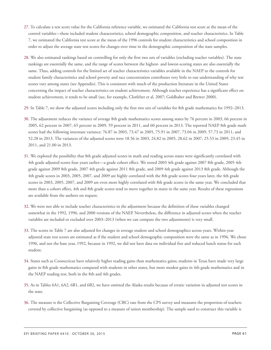- <span id="page-60-0"></span>[27.](#page-18-1) To calculate a test score value for the California reference variable, we estimated the California test score at the mean of the control variables—these included student characteristics, school demographic composition, and teacher characteristics. In Table 7, we estimated the California test score at the mean of the 1996 controls for student characteristics and school composition in order to adjust the average state test scores for changes over time in the demographic composition of the state samples.
- <span id="page-60-1"></span>[28.](#page-18-2) We also estimated rankings based on controlling for only the first two sets of variables (excluding teacher variables). The state rankings are essentially the same, and the range of scores between the highest- and lowest-scoring states are also essentially the same. Thus, adding controls for the limited set of teacher characteristics variables available in the NAEP to the controls for student family characteristics and school poverty and race concentration contributes very little to our understanding of why test scores vary among states (see Appendix). This is consistent with much of the production literature in the United States concerning the impact of teacher characteristics on student achievement. Although teacher experience has a significant effect on student achievement, it tends to be small (see, for example, Clotfelter et al. 2007; Goldhaber and Brewer 2000).
- <span id="page-60-2"></span>[29.](#page-18-2) In Table 7, we show the adjusted scores including only the first two sets of variables for 8th grade mathematics for 1992–2013.
- <span id="page-60-3"></span>[30.](#page-18-3) The adjustment reduces the variance of average 8th grade mathematics scores among states by 76 percent in 2003, 66 percent in 2005, 62 percent in 2007, 65 percent in 2009, 59 percent in 2011, and 60 percent in 2013. The reported NAEP 8th grade math scores had the following interstate variance: 76.87 in 2003, 73.47 in 2005, 75.91 in 2007, 73.04 in 2009, 57.73 in 2011, and 52.28 in 2013. The variances of the adjusted scores were 18.56 in 2003, 24.82 in 2005, 28.62 in 2007, 25.53 in 2009, 23.45 in 2011, and 21.00 in 2013.
- <span id="page-60-4"></span>[31.](#page-18-4) We explored the possibility that 8th grade adjusted scores in math and reading across states were significantly correlated with 4th grade adjusted scores four years earlier—a grade cohort effect. We tested 2003 4th grade against 2007 8th grade, 2005 4th grade against 2009 8th grade, 2007 4th grade against 2011 8th grade, and 2009 4th grade against 2013 8th grade. Although the 4th grade scores in 2003, 2005, 2007, and 2009 are highly correlated with the 8th grade scores four years later, the 4th grade scores in 2003, 2005, 2007, and 2009 are even more highly correlated with 8th grade scores in the same year. We concluded that more than a cohort effect, 4th and 8th grade scores tend to move together in states in the same year. Results of these regressions are available from the authors on request.
- <span id="page-60-5"></span>[32.](#page-20-1) We were not able to include teacher characteristics in the adjustment because the definition of these variables changed somewhat in the 1992, 1996, and 2000 versions of the NAEP. Nevertheless, the difference in adjusted scores when the teacher variables are included or excluded over 2003–2013 (when we can compare the two adjustments) is very small.
- <span id="page-60-6"></span>[33.](#page-20-1) The scores in Table 7 are also adjusted for changes in average student and school demographics across years. Within-year adjusted state test scores are estimated as if the student and school demographic composition were the same as in 1996. We chose 1996, and not the base year, 1992, because in 1992, we did not have data on individual free and reduced lunch status for each student.
- <span id="page-60-7"></span>[34.](#page-20-2) States such as Connecticut have relatively higher reading gains than mathematics gains; students in Texas have made very large gains in 8th grade mathematics compared with students in other states, but more modest gains in 4th grade mathematics and in the NAEP reading test, both in the 8th and 4th grades.
- <span id="page-60-8"></span>[35.](#page-20-3) As in Tables 6A1, 6A2, 6B1, and 6B2, we have omitted the Alaska results because of erratic variation in adjusted test scores in the state.
- <span id="page-60-9"></span>[36.](#page-21-1) The measure is the Collective Bargaining Coverage (CBC) rate from the CPS survey and measures the proportion of teachers covered by collective bargaining (as opposed to a measure of union membership). The sample used to construct this variable is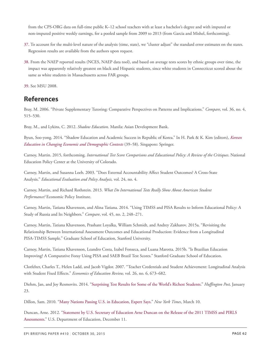from the CPS-ORG data on full-time public K–12 school teachers with at least a bachelor's degree and with imputed or non-imputed positive weekly earnings, for a pooled sample from 2009 to 2013 (from Garcia and Mishel, forthcoming).

- <span id="page-61-1"></span>[37.](#page-21-2) To account for the multi-level nature of the analysis (time, state), we "cluster adjust" the standard error estimates on the states. Regression results are available from the authors upon request.
- <span id="page-61-2"></span>[38.](#page-23-0) From the NAEP reported results (NCES, NAEP data tool), and based on average tests scores by ethnic groups over time, the impact was apparently relatively greatest on black and Hispanic students, since white students in Connecticut scored about the same as white students in Massachusetts across FAR groups.

<span id="page-61-3"></span>[39.](#page-23-1) See MSU 2008.

# <span id="page-61-0"></span>**References**

Bray, M. 2006. "Private Supplementary Tutoring: Comparative Perspectives on Patterns and Implications." *Compare*, vol. 36, no. 4, 515–530.

Bray, M., and Lykins, C. 2012. *Shadow Education*. Manila: Asian Development Bank.

Byun, Soo-yong. 2014. "Shadow Education and Academic Success in Republic of Korea." In H. Park & K. Kim (editors), *[Korean](http://link.springer.com/chapter/10.1007/978-981-4451-27-7_3) [Education in Changing Economic and Demographic Contexts](http://link.springer.com/chapter/10.1007/978-981-4451-27-7_3)* (39–58). Singapore: Springer.

Carnoy, Martin. 2015, forthcoming. *International Test Score Comparisons and Educational Policy: A Review of the Critiques*. National Education Policy Center at the University of Colorado.

Carnoy, Martin, and Susanna Loeb. 2003. "Does External Accountability Affect Student Outcomes? A Cross-State Analysis." *Educational Evaluation and Policy Analysis,* vol. 24, no. 4.

Carnoy, Martin, and Richard Rothstein. 2013. *What Do International Tests Really Show About American Student Performance?* Economic Policy Institute.

Carnoy, Martin, Tatiana Khavenson, and Alina Tatiana. 2014. "Using TIMSS and PISA Results to Inform Educational Policy: A Study of Russia and Its Neighbors." *Compare*, vol. 45, no. 2, 248–271.

Carnoy, Martin, Tatiana Khavenson, Prashant Loyalka, William Schmidt, and Andrey Zakharov. 2015a. "Revisiting the Relationship Between International Assessment Outcomes and Educational Production: Evidence from a Longitudinal PISA-TIMSS Sample." Graduate School of Education, Stanford University.

Carnoy, Martin, Tatiana Khavenson, Leandro Costa, Izabel Fonseca, and Luana Marotta. 2015b. "Is Brazilian Education Improving? A Comparative Foray Using PISA and SAEB Brazil Test Scores." Stanford Graduate School of Education.

Clotfelter, Charles T., Helen Ladd, and Jacob Vigdor. 2007. "Teacher Credentials and Student Achievement: Longitudinal Analysis with Student Fixed Effects." *Economics of Education Review,* vol. 26, no. 6, 673–682.

Diehm, Jan, and Joy Resmovits. 2014. ["Surprising Test Results for Some of the World's Richest Students](http://www.huffingtonpost.com/2014/01/23/pisa-wealth_n_4641669.html)." *Huffington Post,* January 23.

Dillon, Sam. 2010. ["Many Nations Passing U.S. in Education, Expert Says](http://www.nytimes.com/2010/03/10/education/10educ.html)." *New York Times*, March 10.

Duncan, Arne. 2012. ["Statement by U.S. Secretary of Education Arne Duncan on the Release of the 2011 TIMSS and PIRLS](http://www.ed.gov/news/press-releases/statement-us-secretary-education-arne-duncan-release-2011-timss-and-pirls-assess) [Assessments](http://www.ed.gov/news/press-releases/statement-us-secretary-education-arne-duncan-release-2011-timss-and-pirls-assess)." U.S. Department of Education, December 11.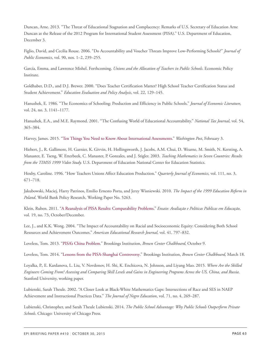Duncan, Arne. 2013. "The Threat of Educational Stagnation and Complacency: Remarks of U.S. Secretary of Education Arne Duncan at the Release of the 2012 Program for International Student Assessment (PISA)." U.S. Department of Education, December 3.

Figlio, David, and Cecilia Rouse. 2006. "Do Accountability and Voucher Threats Improve Low-Performing Schools?" *Journal of Public Economics*, vol. 90, nos. 1–2, 239–255.

García, Emma, and Lawrence Mishel. Forthcoming. *Unions and the Allocation of Teachers in Public Schools*. Economic Policy Institute.

Goldhaber, D.D., and D.J. Brewer. 2000. "Does Teacher Certification Matter? High School Teacher Certification Status and Student Achievement." *Education Evaluation and Policy Analysis*, vol. 22, 129–145.

Hanushek, E. 1986. "The Economics of Schooling: Production and Efficiency in Public Schools." *Journal of Economic Literature*, vol. 24, no. 3, 1141–1177.

Hanushek, E.A., and M.E. Raymond. 2001. "The Confusing World of Educational Accountability." *National Tax Journal*, vol. 54, 365–384.

Harvey, James. 2015. "[Ten Things You Need to Know About International Assessments.](http://www.washingtonpost.com/blogs/answer-sheet/wp/2015/02/03/ten-things-you-need-to-know-about-international-assessments/)" *Washington Post*, February 3.

Hiebert, J., R. Gallimore, H. Garnier, K. Givvin, H. Hollingsworth, J. Jacobs, A.M. Chui, D. Wearne, M. Smith, N. Kersting, A. Manaster, E. Tseng, W. Etterbeek, C. Manaster, P. Gonzales, and J. Stigler. 2003. *Teaching Mathematics in Seven Countries: Results from the TIMSS 1999 Video Study.* U.S. Department of Education National Center for Education Statistics.

Hoxby, Caroline. 1996. "How Teachers Unions Affect Education Production." *Quarterly Journal of Economics,* vol. 111, no. 3, 671–718.

Jakubowski, Maciej, Harry Patrinos, Emilio Ernesto Porta, and Jerzy Wisniewski. 2010. *The Impact of the 1999 Education Reform in Poland*. World Bank Policy Research, Working Paper No. 5263.

Klein, Ruben. 2011. "[A Reanalysis of PISA Results: Comparability Problems](http://dx.doi.org/10.1590/S0104-40362011000500002)." *Ensaio: Avaliação e Políticas Públicas em Educação*, vol. 19, no. 73, October/December.

Lee, J., and K.K. Wong. 2004. "The Impact of Accountability on Racial and Socioeconomic Equity: Considering Both School Resources and Achievement Outcomes." *American Educational Research Journal,* vol. 41, 797–832.

Loveless, Tom. 2013. "[PISA's China Problem](http://www.brookings.edu/research/papers/2013/10/09-pisa-china-problem-loveless)." Brookings Institution, *Brown Center Chalkboard,* October 9.

Loveless, Tom. 2014. "[Lessons from the PISA-Shanghai Controversy.](http://www.brookings.edu/research/reports/2014/03/18-pisa-shanghai-loveless)" Brookings Institution, *Brown Center Chalkboard,* March 18.

Loyalka, P., E. Kardanova, L. Liu, V. Novdonov, H. Shi, K. Enchicova, N. Johnson, and Liyang Mao. 2015. *Where Are the Skilled Engineers Coming From? Assessing and Comparing Skill Levels and Gains in Engineering Programs Across the US, China, and Russia*. Stanford University, working paper.

Lubienski, Sarah Theule. 2002. "A Closer Look at Black-White Mathematics Gaps: Intersections of Race and SES in NAEP Achievement and Instructional Practices Data." *The Journal of Negro Education*, vol. 71, no. 4, 269–287.

Lubienski, Christopher, and Sarah Theule Lubienski. 2014. *The Public School Advantage: Why Public Schools Outperform Private Schools*. Chicago: University of Chicago Press.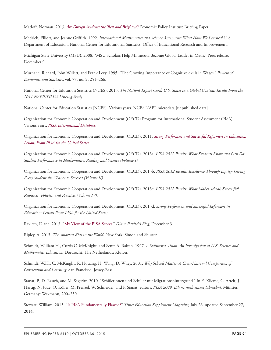Matloff, Norman. 2013. *[Are Foreign Students the 'Best and Brightest'?](http://www.epi.org/publication/bp356-foreign-students-best-brightest-immigration-policy)* Economic Policy Institute Briefing Paper.

Medrich, Elliott, and Jeanne Griffith. 1992. *International Mathematics and Science Assessment: What Have We Learned?* U.S. Department of Education, National Center for Educational Statistics, Office of Educational Research and Improvement.

Michigan State University (MSU). 2008. "MSU Scholars Help Minnesota Become Global Leader in Math." Press release, December 9.

Murnane, Richard, John Willett, and Frank Levy. 1995. "The Growing Importance of Cognitive Skills in Wages." *Review of Economics and Statistics*, vol. 77, no. 2, 251–266.

National Center for Education Statistics (NCES). 2013. *The Nation's Report Card: U.S. States in a Global Context: Results From the 2011 NAEP-TIMSS Linking Study.*

National Center for Education Statistics (NCES). Various years. NCES NAEP microdata [unpublished data].

Organization for Economic Cooperation and Development (OECD) Program for International Student Assessment (PISA). Various years. *[PISA International Database](http://pisa2012.acer.edu.au/)*.

Organization for Economic Cooperation and Development (OECD). 2011. *[Strong Performers and Successful Reformers in Education:](http://dx.doi.org/10.1787/9789264096660-en) [Lessons From PISA for the United States](http://dx.doi.org/10.1787/9789264096660-en)*.

Organization for Economic Cooperation and Development (OECD). 2013a. *PISA 2012 Results: What Students Know and Can Do: Student Performance in Mathematics, Reading and Science (Volume I).*

Organization for Economic Cooperation and Development (OECD). 2013b. *PISA 2012 Results: Excellence Through Equity: Giving Every Student the Chance to Succeed (Volume II).*

Organization for Economic Cooperation and Development (OECD). 2013c. *PISA 2012 Results: What Makes Schools Successful? Resources, Policies, and Practices (Volume IV).*

Organization for Economic Cooperation and Development (OECD). 2013d. *Strong Performers and Successful Reformers in Education: Lessons From PISA for the United States*.

Ravitch, Diane. 2013. ["My View of the PISA Scores.](http://dianeravitch.net/2013/12/03/my-view-of-the-pisa-scores/)" *Diane Ravitch's Blog,* December 3.

Ripley, A. 2013*. The Smartest Kids in the World.* New York*:* Simon and Shuster.

Schmidt, William H., Curtis C. McKnight, and Senta A. Raizen. 1997. *A Splintered Vision: An Investigation of U.S. Science and Mathematics Education.* Dordrecht, The Netherlands: Kluwer.

Schmidt, W.H., C. McKnight, R. Houang, H. Wang, D. Wiley. 2001. *Why Schools Matter: A Cross-National Comparison of Curriculum and Learning.* San Francisco: Jossey-Bass.

Stanat, P., D. Rauch, and M. Segeritz. 2010. "Schülerinnen und Schüler mit Migrationshintergrund." In E. Klieme, C. Artelt, J. Hartig, N. Jude, O. Köller, M. Prenzel, W. Schneider, and P. Stanat, editors. *PISA 2009. Bilanz nach einem Jahrzehnt.* Münster, Germany: Waxmann, 200–230.

Stewart, William. 2013. ["Is PISA Fundamentally Flawed?"](https://www.tes.co.uk/article.aspx?storycode=6344672) *Times Education Supplement Magazine,* July 26, updated September 27, 2014.